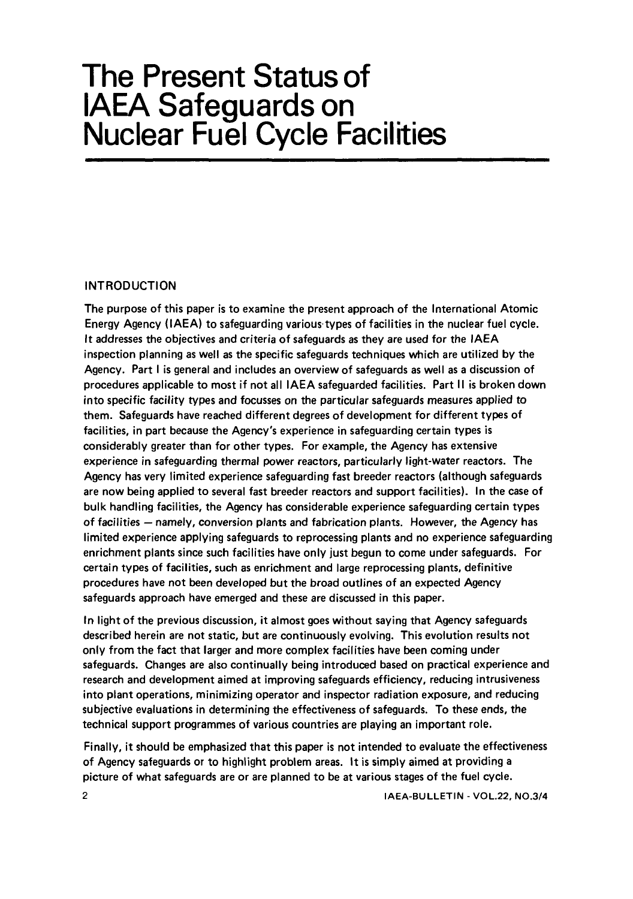# **The Present Status of IAEA Safeguards on Nuclear Fuel Cycle Facilities**

## **INTRODUCTION**

The purpose of this paper is to examine the present approach of the International Atomic Energy Agency (IAEA) to safeguarding various types of facilities in the nuclear fuel cycle. It addresses the objectives and criteria of safeguards as they are used for the IAEA inspection planning as well as the specific safeguards techniques which are utilized by the Agency. Part I is general and includes an overview of safeguards as well as a discussion of procedures applicable to most if not all IAEA safeguarded facilities. Part II is broken down into specific facility types and focusses on the particular safeguards measures applied to them. Safeguards have reached different degrees of development for different types of facilities, in part because the Agency's experience in safeguarding certain types is considerably greater than for other types. For example, the Agency has extensive experience in safeguarding thermal power reactors, particularly light-water reactors. The Agency has very limited experience safeguarding fast breeder reactors (although safeguards are now being applied to several fast breeder reactors and support facilities). In the case of bulk handling facilities, the Agency has considerable experience safeguarding certain types of facilities — namely, conversion plants and fabrication plants. However, the Agency has limited experience applying safeguards to reprocessing plants and no experience safeguarding enrichment plants since such facilities have only just begun to come under safeguards. For certain types of facilities, such as enrichment and large reprocessing plants, definitive procedures have not been developed but the broad outlines of an expected Agency safeguards approach have emerged and these are discussed in this paper.

In light of the previous discussion, it almost goes without saying that Agency safeguards described herein are not static, but are continuously evolving. This evolution results not only from the fact that larger and more complex facilities have been coming under safeguards. Changes are also continually being introduced based on practical experience and research and development aimed at improving safeguards efficiency, reducing intrusiveness into plant operations, minimizing operator and inspector radiation exposure, and reducing subjective evaluations in determining the effectiveness of safeguards. To these ends, the technical support programmes of various countries are playing an important role.

Finally, it should be emphasized that this paper is not intended to evaluate the effectiveness of Agency safeguards or to highlight problem areas. It is simply aimed at providing a picture of what safeguards are or are planned to be at various stages of the fuel cycle.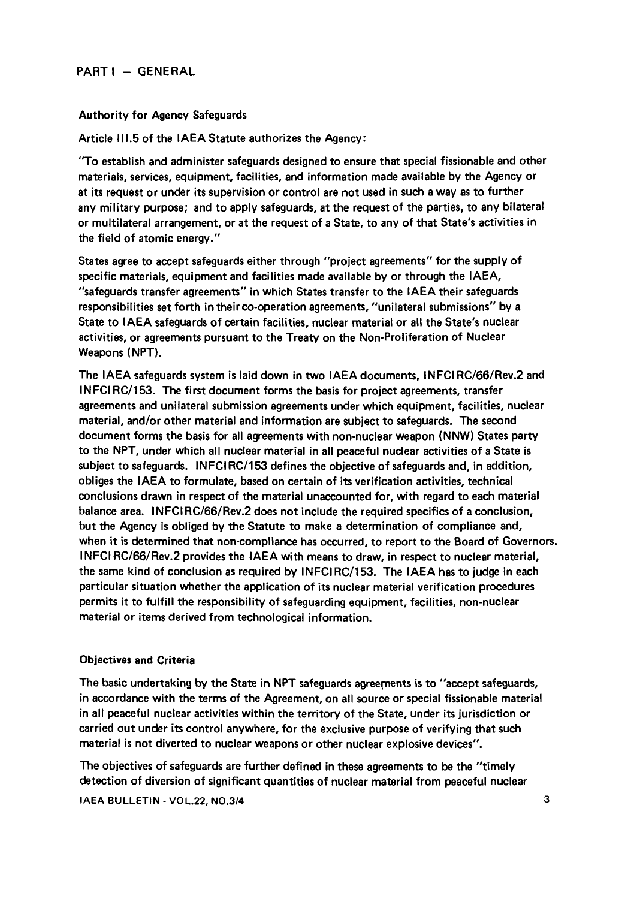#### Authority for Agency Safeguards

Article 111.5 of the IAEA Statute authorizes the Agency:

"To establish and administer safeguards designed to ensure that special fissionable and other materials, services, equipment, facilities, and information made available by the Agency or at its request or under its supervision or control are not used in such a way as to further any military purpose; and to apply safeguards, at the request of the parties, to any bilateral or multilateral arrangement, or at the request of a State, to any of that State's activities in the field of atomic energy."

States agree to accept safeguards either through "project agreements" for the supply of specific materials, equipment and facilities made available by or through the IAEA, "safeguards transfer agreements" in which States transfer to the IAEA their safeguards responsibilities set forth in their co-operation agreements, "unilateral submissions" by a State to IAEA safeguards of certain facilities, nuclear material or all the State's nuclear activities, or agreements pursuant to the Treaty on the Non-Proliferation of Nuclear Weapons (NPT).

The IAEA safeguards system is laid down in two IAEA documents, INFCIRC/66/Rev.2 and INFCIRC/153. The first document forms the basis for project agreements, transfer agreements and unilateral submission agreements under which equipment, facilities, nuclear material, and/or other material and information are subject to safeguards. The second document forms the basis for all agreements with non-nuclear weapon (NNW) States party to the NPT, under which all nuclear material in all peaceful nuclear activities of a State is subject to safeguards. INFCIRC/153 defines the objective of safeguards and, in addition, obliges the IAEA to formulate, based on certain of its verification activities, technical conclusions drawn in respect of the material unaccounted for, with regard to each material balance area. INFCIRC/66/Rev.2 does not include the required specifics of a conclusion, but the Agency is obliged by the Statute to make a determination of compliance and, when it is determined that non-compliance has occurred, to report to the Board of Governors. INFCI RC/66/Rev.2 provides the IAEA with means to draw, in respect to nuclear material, the same kind of conclusion as required by INFCIRC/153. The IAEA has to judge in each particular situation whether the application of its nuclear material verification procedures permits it to fulfill the responsibility of safeguarding equipment, facilities, non-nuclear material or items derived from technological information.

#### Objectives and Criteria

The basic undertaking by the State in NPT safeguards agreements is to "accept safeguards, in accordance with the terms of the Agreement, on all source or special fissionable material in all peaceful nuclear activities within the territory of the State, under its jurisdiction or carried out under its control anywhere, for the exclusive purpose of verifying that such material is not diverted to nuclear weapons or other nuclear explosive devices".

The objectives of safeguards are further defined in these agreements to be the "timely detection of diversion of significant quantities of nuclear material from peaceful nuclear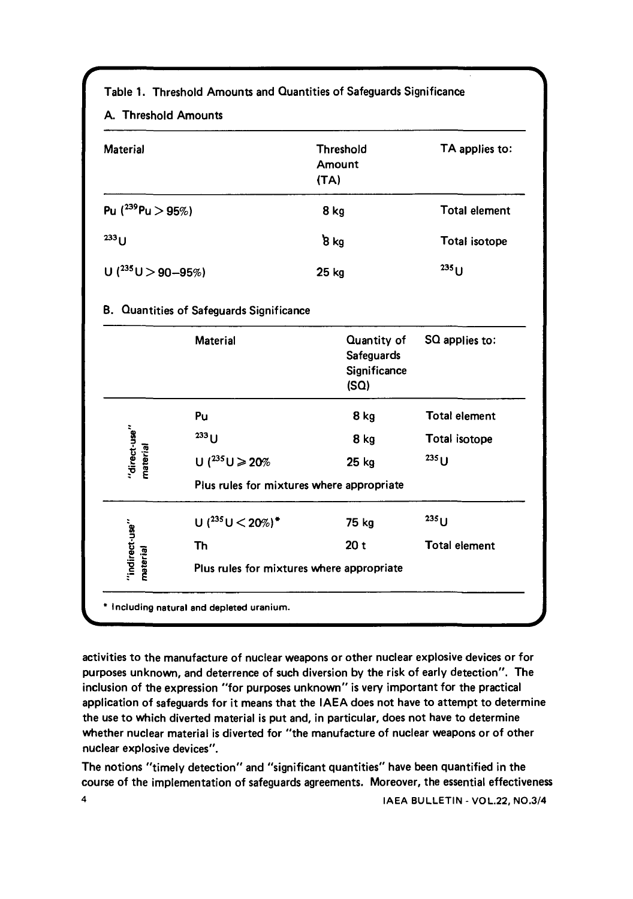| <b>Material</b>           |                                     | Threshold<br><b>Amount</b><br>(TA)        | TA applies to:       |
|---------------------------|-------------------------------------|-------------------------------------------|----------------------|
| Pu $(^{239}$ Pu $>$ 95%)  |                                     | 8 kg                                      | <b>Total element</b> |
| $233$ <sub>U</sub>        |                                     | 8 <sub>kg</sub>                           | <b>Total isotope</b> |
| U $(^{235}$ U $>$ 90-95%) |                                     | 25 kg                                     | $235$ <sub>11</sub>  |
|                           |                                     | <b>Safeguards</b><br>Significance<br>(SQ) |                      |
|                           | Pu                                  | 8 kg                                      | <b>Total element</b> |
|                           | $233$ U                             | 8 kg                                      | Total isotope        |
| direct-use"<br>material   | U $(^{235}$ U ≥ 20%                 | $25$ kg                                   | $^{235}$ U           |
|                           |                                     | Plus rules for mixtures where appropriate |                      |
|                           | U $(^{235}$ U $<$ 20%) <sup>*</sup> | 75 kg                                     | $235$ U              |
| 'indirect-use''           | Th                                  | 20 <sub>t</sub>                           | <b>Total element</b> |
| material                  |                                     | Plus rules for mixtures where appropriate |                      |

activities to the manufacture of nuclear weapons or other nuclear explosive devices or for purposes unknown, and deterrence of such diversion by the risk of early detection". The inclusion of the expression "for purposes unknown" is very important for the practical application of safeguards for it means that the IAEA does not have to attempt to determine the use to which diverted material is put and, in particular, does not have to determine whether nuclear material is diverted for "the manufacture of nuclear weapons or of other nuclear explosive devices".

The notions "timely detection" and "significant quantities" have been quantified in the course of the implementation of safeguards agreements. Moreover, the essential effectiveness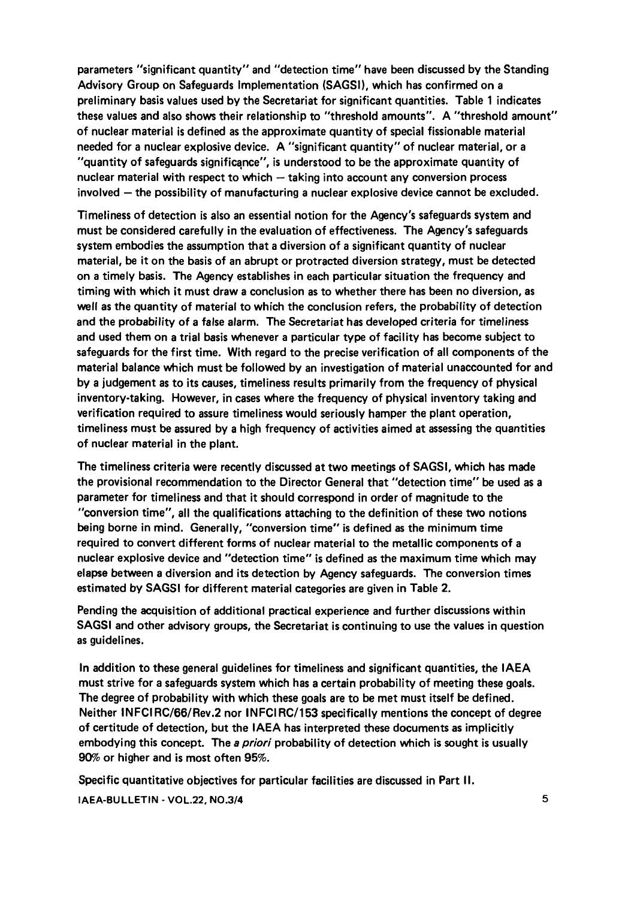**parameters "significant quantity" and "detection time" have been discussed by the Standing Advisory Group on Safeguards Implementation (SAGSI), which has confirmed on a preliminary basis values used by the Secretariat for significant quantities. Table 1 indicates these values and also shows their relationship to "threshold amounts". A "threshold amount" of nuclear material is defined as the approximate quantity of special fissionable material needed for a nuclear explosive device. A "significant quantity" of nuclear material, or a "quantity of safeguards significance", is understood to be the approximate quantity of nuclear material with respect to which — taking into account any conversion process involved — the possibility of manufacturing a nuclear explosive device cannot be excluded.** 

**Timeliness of detection is also an essential notion for the Agency's safeguards system and must be considered carefully in the evaluation of effectiveness. The Agency's safeguards system embodies the assumption that a diversion of a significant quantity of nuclear material, be it on the basis of an abrupt or protracted diversion strategy, must be detected on a timely basis. The Agency establishes in each particular situation the frequency and timing with which it must draw a conclusion as to whether there has been no diversion, as well as the quantity of material to which the conclusion refers, the probability of detection and the probability of a false alarm. The Secretariat has developed criteria for timeliness and used them on a trial basis whenever a particular type of facility has become subject to safeguards for the first time. With regard to the precise verification of all components of the material balance which must be followed by an investigation of material unaccounted for and by a judgement as to its causes, timeliness results primarily from the frequency of physical inventory-taking. However, in cases where the frequency of physical inventory taking and verification required to assure timeliness would seriously hamper the plant operation, timeliness must be assured by a high frequency of activities aimed at assessing the quantities of nuclear material in the plant.** 

**The timeliness criteria were recently discussed at two meetings of SAGSI, which has made the provisional recommendation to the Director General that "detection time" be used as a parameter for timeliness and that it should correspond in order of magnitude to the "conversion time", all the qualifications attaching to the definition of these two notions being borne in mind. Generally, "conversion time" is defined as the minimum time required to convert different forms of nuclear material to the metallic components of a nuclear explosive device and "detection time" is defined as the maximum time which may elapse between a diversion and its detection by Agency safeguards. The conversion times estimated by SAGSI for different material categories are given in Table 2.** 

**Pending the acquisition of additional practical experience and further discussions within SAGSI and other advisory groups, the Secretariat is continuing to use the values in question as guidelines.** 

**In addition to these general guidelines for timeliness and significant quantities, the IAEA must strive for a safeguards system which has a certain probability of meeting these goals. The degree of probability with which these goals are to be met must itself be defined. Neither INFCIRC/66/Rev.2 nor INFCIRC/153 specifically mentions the concept of degree of certitude of detection, but the IAEA has interpreted these documents as implicitly embodying this concept. The a priori probability of detection which is sought is usually 90% or higher and is most often 95%.** 

**Specific quantitative objectives for particular facilities are discussed in Part II.**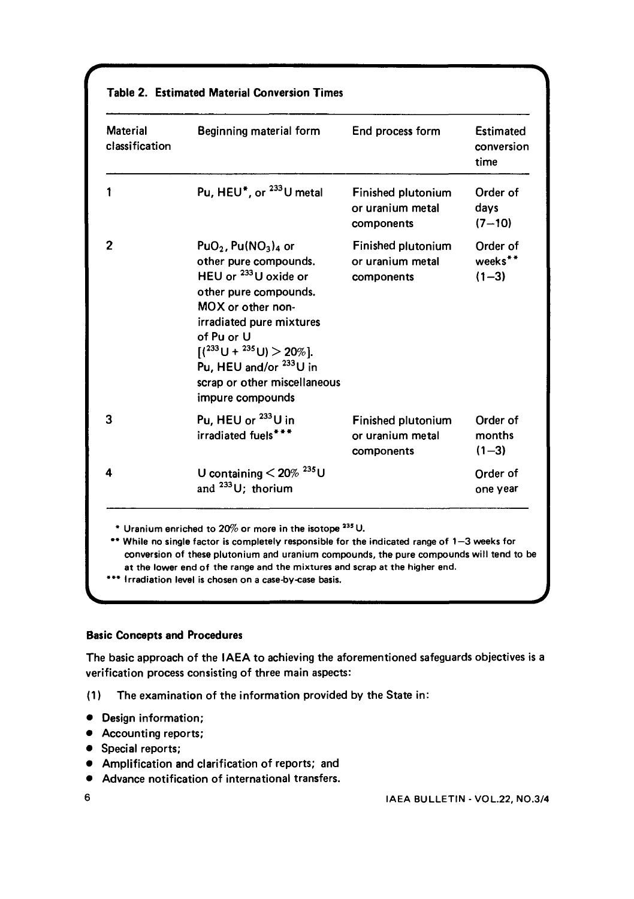| <b>Material</b><br>classification | Beginning material form                                                                                                                                                                                                                                                                                                                               | End process form                                            | <b>Estimated</b><br>conversion<br>time |
|-----------------------------------|-------------------------------------------------------------------------------------------------------------------------------------------------------------------------------------------------------------------------------------------------------------------------------------------------------------------------------------------------------|-------------------------------------------------------------|----------------------------------------|
| 1                                 | Pu, HEU <sup>*</sup> , or <sup>233</sup> U metal                                                                                                                                                                                                                                                                                                      | <b>Finished plutonium</b><br>or uranium metal<br>components | Order of<br>days<br>$(7 - 10)$         |
| $\mathbf 2$                       | PuO <sub>2</sub> , Pu(NO <sub>3</sub> ) <sub>4</sub> or<br>other pure compounds.<br>HEU or <sup>233</sup> U oxide or<br>other pure compounds.<br>MOX or other non-<br>irradiated pure mixtures<br>of Pu or U<br>$[(233 \text{ U} + 235 \text{ U}) > 20\%].$<br>Pu, HEU and/or <sup>233</sup> U in<br>scrap or other miscellaneous<br>impure compounds | <b>Finished plutonium</b><br>or uranium metal<br>components | Order of<br>weeks**<br>$(1-3)$         |
| 3                                 | Pu, HEU or <sup>233</sup> U in<br>irradiated fuels***                                                                                                                                                                                                                                                                                                 | Finished plutonium<br>or uranium metal<br>components        | Order of<br>months<br>$(1-3)$          |
| 4                                 | U containing $<$ 20% $^{235}$ U<br>and $^{233}U$ ; thorium                                                                                                                                                                                                                                                                                            |                                                             | Order of<br>one year                   |

# **Table 2. Estimated Material Conversion Times**

#### **Basic Concepts and Procedures**

The basic approach of the IAEA to achieving the aforementioned safeguards objectives is a verification process consisting of three main aspects:

- (1) The examination of the information provided by the State in:
- Design information;
- **•** Accounting reports;
- Special reports;
- Amplification and clarification of reports; and
- Advance notification of international transfers.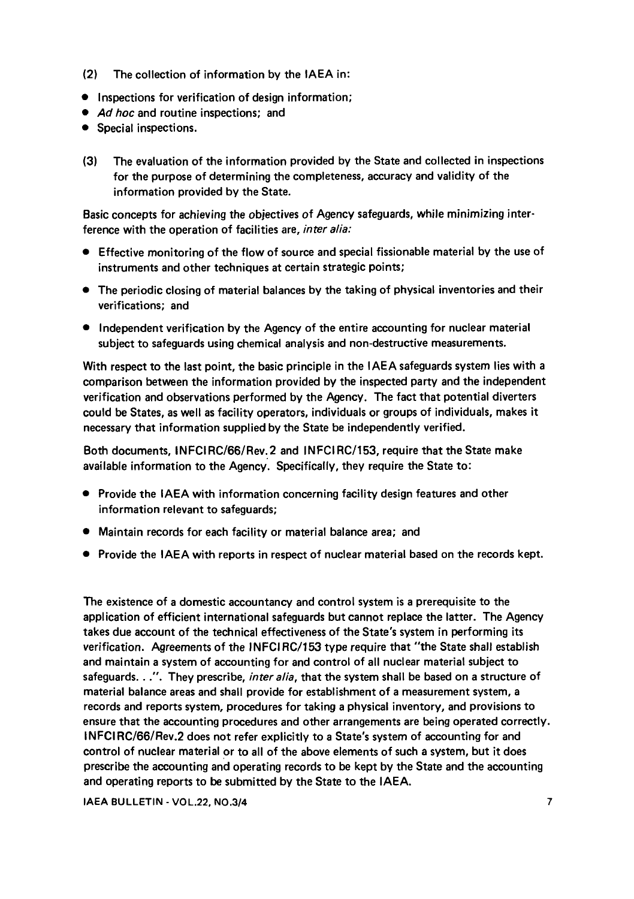- (2) The collection of information by the IAEA in:
- Inspections for verification of design information;
- Ad hoc and routine inspections; and
- Special inspections.
- (3) The evaluation of the information provided by the State and collected in inspections for the purpose of determining the completeness, accuracy and validity of the information provided by the State.

Basic concepts for achieving the objectives of Agency safeguards, while minimizing interference with the operation of facilities are, inter alia:

- Effective monitoring of the flow of source and special fissionable material by the use of instruments and other techniques at certain strategic points;
- The periodic closing of material balances by the taking of physical inventories and their verifications; and
- Independent verification by the Agency of the entire accounting for nuclear material subject to safeguards using chemical analysis and non-destructive measurements.

With respect to the last point, the basic principle in the IAEA safeguards system lies with a comparison between the information provided by the inspected party and the independent verification and observations performed by the Agency. The fact that potential diverters could be States, as well as facility operators, individuals or groups of individuals, makes it necessary that information supplied by the State be independently verified.

Both documents, INFCIRC/66/Rev.2 and INFCIRC/153, require that the State make available information to the Agency. Specifically, they require the State to:

- Provide the IAEA with information concerning facility design features and other information relevant to safeguards;
- Maintain records for each facility or material balance area; and
- Provide the IAEA with reports in respect of nuclear material based on the records kept.

The existence of a domestic accountancy and control system is a prerequisite to the application of efficient international safeguards but cannot replace the latter. The Agency takes due account of the technical effectiveness of the State's system in performing its verification. Agreements of the INFCIRC/153 type require that "the State shall establish and maintain a system of accounting for and control of all nuclear material subject to safeguards...". They prescribe, inter alia, that the system shall be based on a structure of material balance areas and shall provide for establishment of a measurement system, a records and reports system, procedures for taking a physical inventory, and provisions to ensure that the accounting procedures and other arrangements are being operated correctly. INFCIRC/66/Rev.2 does not refer explicitly to a State's system of accounting for and control of nuclear material or to all of the above elements of such a system, but it does prescribe the accounting and operating records to be kept by the State and the accounting and operating reports to be submitted by the State to the IAEA.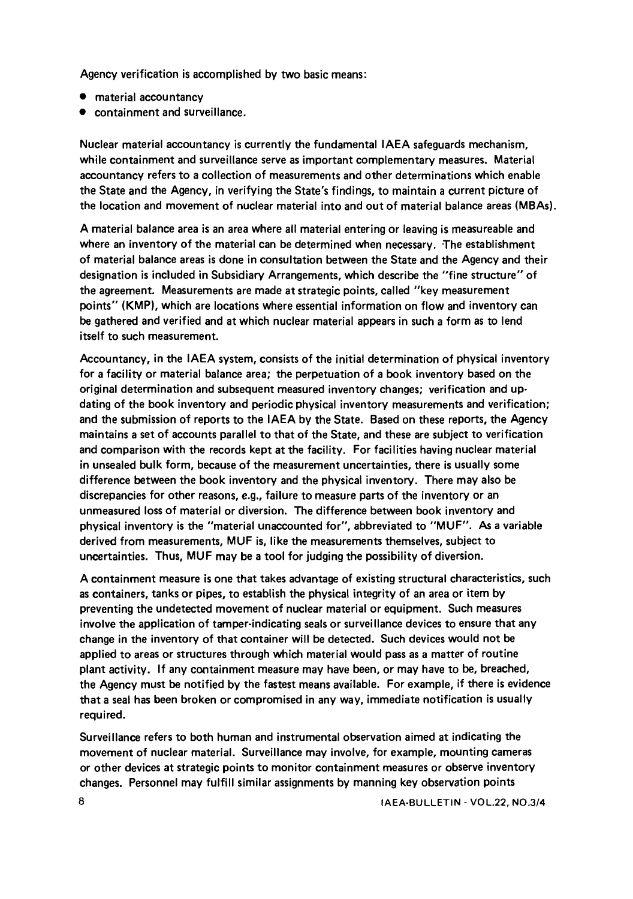Agency verification is accomplished by two basic means:

- $\bullet$  material accountancy
- containment and surveillance.

Nuclear material accountancy is currently the fundamental IAEA safeguards mechanism, while containment and surveillance serve as important complementary measures. Material accountancy refers to a collection of measurements and other determinations which enable the State and the Agency, in verifying the State's findings, to maintain a current picture of the location and movement of nuclear material into and out of material balance areas (MBAs).

A material balance area is an area where all material entering or leaving is measureable and where an inventory of the material can be determined when necessary. The establishment of material balance areas is done in consultation between the State and the Agency and their designation is included in Subsidiary Arrangements, which describe the "fine structure" of the agreement. Measurements are made at strategic points, called "key measurement points" (KMP), which are locations where essential information on flow and inventory can be gathered and verified and at which nuclear material appears in such a form as to lend itself to such measurement.

Accountancy, in the IAEA system, consists of the initial determination of physical inventory for a facility or material balance area; the perpetuation of a book inventory based on the original determination and subsequent measured inventory changes; verification and updating of the book inventory and periodic physical inventory measurements and verification; and the submission of reports to the IAEA by the State. Based on these reports, the Agency maintains a set of accounts parallel to that of the State, and these are subject to verification and comparison with the records kept at the facility. For facilities having nuclear material in unsealed bulk form, because of the measurement uncertainties, there is usually some difference between the book inventory and the physical inventory. There may also be discrepancies for other reasons, e.g., failure to measure parts of the inventory or an unmeasured loss of material or diversion. The difference between book inventory and physical inventory is the "material unaccounted for", abbreviated to "MUF". As a variable derived from measurements, MUF is, like the measurements themselves, subject to uncertainties. Thus, MUF may be a tool for judging the possibility of diversion.

A containment measure is one that takes advantage of existing structural characteristics, such as containers, tanks or pipes, to establish the physical integrity of an area or item by preventing the undetected movement of nuclear material or equipment. Such measures involve the application of tamper-indicating seals or surveillance devices to ensure that any change in the inventory of that container will be detected. Such devices would not be applied to areas or structures through which material would pass as a matter of routine plant activity. If any containment measure may have been, or may have to be, breached, the Agency must be notified by the fastest means available. For example, if there is evidence that a seal has been broken or compromised in any way, immediate notification is usually required.

Surveillance refers to both human and instrumental observation aimed at indicating the movement of nuclear material. Surveillance may involve, for example, mounting cameras or other devices at strategic points to monitor containment measures or observe inventory changes. Personnel may fulfill similar assignments by manning key observation points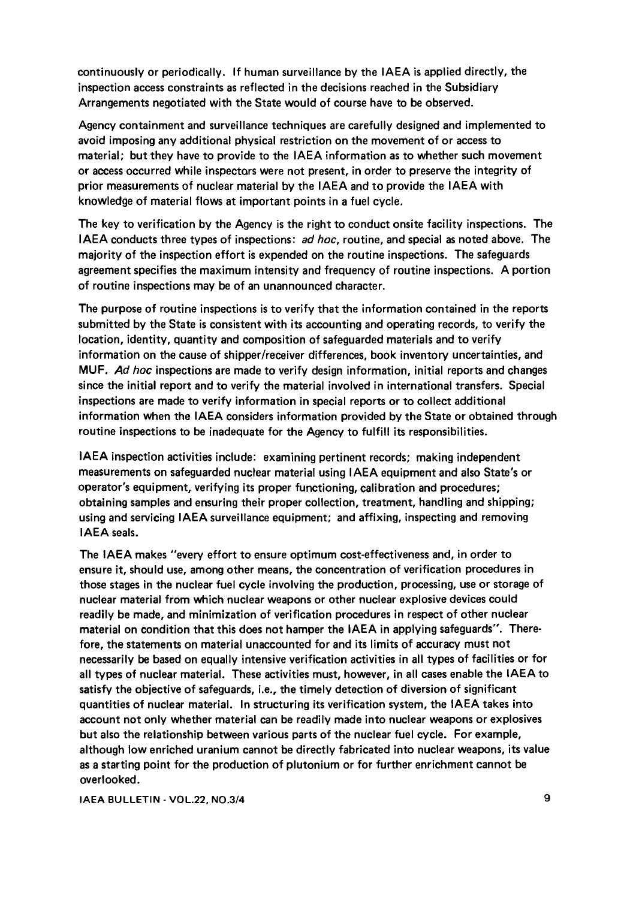continuously or periodically. If human surveillance by the IAEA is applied directly, the inspection access constraints as reflected in the decisions reached in the Subsidiary Arrangements negotiated with the State would of course have to be observed.

Agency containment and surveillance techniques are carefully designed and implemented to avoid imposing any additional physical restriction on the movement of or access to material; but they have to provide to the IAEA information as to whether such movement or access occurred while inspectors were not present, in order to preserve the integrity of prior measurements of nuclear material by the IAEA and to provide the IAEA with knowledge of material flows at important points in a fuel cycle.

The key to verification by the Agency is the right to conduct onsite facility inspections. The IAEA conducts three types of inspections: *ad hoc*, routine, and special as noted above. The majority of the inspection effort is expended on the routine inspections. The safeguards agreement specifies the maximum intensity and frequency of routine inspections. A portion of routine inspections may be of an unannounced character.

The purpose of routine inspections is to verify that the information contained in the reports submitted by the State is consistent with its accounting and operating records, to verify the location, identity, quantity and composition of safeguarded materials and to verify information on the cause of shipper/receiver differences, book inventory uncertainties, and MUF. Ad hoc inspections are made to verify design information, initial reports and changes since the initial report and to verify the material involved in international transfers. Special inspections are made to verify information in special reports or to collect additional information when the IAEA considers information provided by the State or obtained through routine inspections to be inadequate for the Agency to fulfill its responsibilities.

IAEA inspection activities include: examining pertinent records; making independent measurements on safeguarded nuclear material using IAEA equipment and also State's or operator's equipment, verifying its proper functioning, calibration and procedures; obtaining samples and ensuring their proper collection, treatment, handling and shipping; using and servicing IAEA surveillance equipment; and affixing, inspecting and removing IAEA seals.

The IAEA makes "every effort to ensure optimum cost-effectiveness and, in order to ensure it, should use, among other means, the concentration of verification procedures in those stages in the nuclear fuel cycle involving the production, processing, use or storage of nuclear material from which nuclear weapons or other nuclear explosive devices could readily be made, and minimization of verification procedures in respect of other nuclear material on condition that this does not hamper the IAEA in applying safeguards". Therefore, the statements on material unaccounted for and its limits of accuracy must not necessarily be based on equally intensive verification activities in all types of facilities or for all types of nuclear material. These activities must, however, in all cases enable the IAEA to satisfy the objective of safeguards, i.e., the timely detection of diversion of significant quantities of nuclear material. In structuring its verification system, the IAEA takes into account not only whether material can be readily made into nuclear weapons or explosives but also the relationship between various parts of the nuclear fuel cycle. For example, although low enriched uranium cannot be directly fabricated into nuclear weapons, its value as a starting point for the production of plutonium or for further enrichment cannot be overlooked.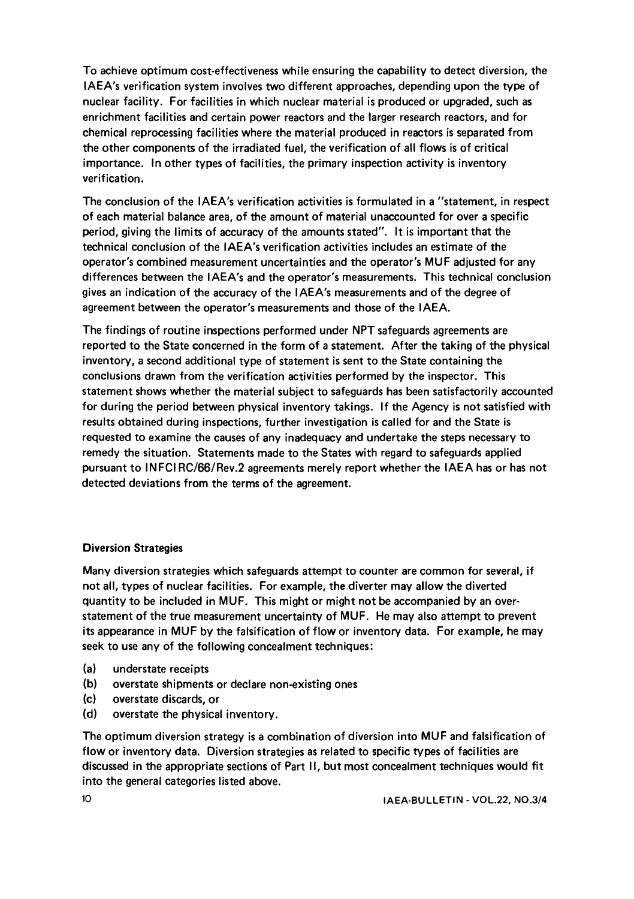To achieve optimum cost-effectiveness while ensuring the capability to detect diversion, the IAEA's verification system involves two different approaches, depending upon the type of nuclear facility. For facilities in which nuclear material is produced or upgraded, such as enrichment facilities and certain power reactors and the larger research reactors, and for chemical reprocessing facilities where the material produced in reactors is separated from the other components of the irradiated fuel, the verification of all flows is of critical importance. In other types of facilities, the primary inspection activity is inventory verification.

The conclusion of the IAEA's verification activities is formulated in a "statement, in respect of each material balance area, of the amount of material unaccounted for over a specific period, giving the limits of accuracy of the amounts stated". It is important that the technical conclusion of the IAEA's verification activities includes an estimate of the operator's combined measurement uncertainties and the operator's MUF adjusted for any differences between the IAEA's and the operator's measurements. This technical conclusion gives an indication of the accuracy of the IAEA's measurements and of the degree of agreement between the operator's measurements and those of the IAEA.

The findings of routine inspections performed under NPT safeguards agreements are reported to the State concerned in the form of a statement. After the taking of the physical inventory, a second additional type of statement is sent to the State containing the conclusions drawn from the verification activities performed by the inspector. This statement shows whether the material subject to safeguards has been satisfactorily accounted for during the period between physical inventory takings. If the Agency is not satisfied with results obtained during inspections, further investigation is called for and the State is requested to examine the causes of any inadequacy and undertake the steps necessary to remedy the situation. Statements made to the States with regard to safeguards applied pursuant to INFCI RC/66/Rev.2 agreements merely report whether the IAEA has or has not detected deviations from the terms of the agreement.

## Diversion Strategies

Many diversion strategies which safeguards attempt to counter are common for several, if not all, types of nuclear facilities. For example, the diverter may allow the diverted quantity to be included in MUF. This might or might not be accompanied by an overstatement of the true measurement uncertainty of MUF. He may also attempt to prevent its appearance in MUF by the falsification of flow or inventory data. For example, he may seek to use any of the following concealment techniques:

- (a) understate receipts
- (b) overstate shipments or declare non-existing ones
- (c) overstate discards, or
- (d) overstate the physical inventory.

The optimum diversion strategy is a combination of diversion into MUF and falsification of flow or inventory data. Diversion strategies as related to specific types of facilities are discussed in the appropriate sections of Part II, but most concealment techniques would fit into the general categories listed above.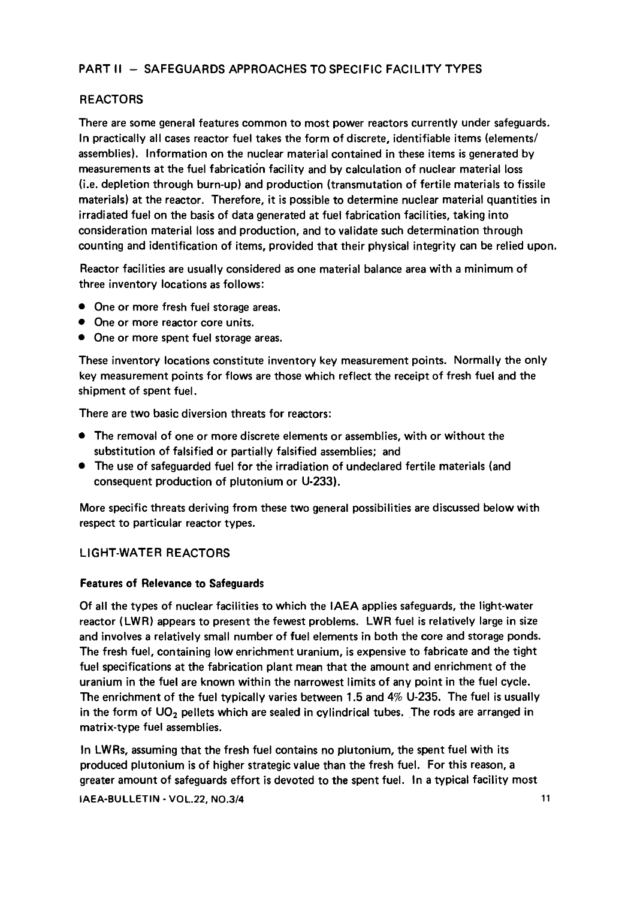# PART II - SAFEGUARDS APPROACHES TO SPECIFIC FACILITY TYPES

# **REACTORS**

There are some general features common to most power reactors currently under safeguards. In practically all cases reactor fuel takes the form of discrete, identifiable items (elements/ assemblies). Information on the nuclear material contained in these items is generated by measurements at the fuel fabrication facility and by calculation of nuclear material loss (i.e. depletion through burn-up) and production (transmutation of fertile materials to fissile materials) at the reactor. Therefore, it is possible to determine nuclear material quantities in irradiated fuel on the basis of data generated at fuel fabrication facilities, taking into consideration material loss and production, and to validate such determination through counting and identification of items, provided that their physical integrity can be relied upon.

Reactor facilities are usually considered as one material balance area with a minimum of three inventory locations as follows:

- One or more fresh fuel storage areas.
- One or more reactor core units.
- One or more spent fuel storage areas.

These inventory locations constitute inventory key measurement points. Normally the only key measurement points for flows are those which reflect the receipt of fresh fuel and the shipment of spent fuel.

There are two basic diversion threats for reactors:

- The removal of one or more discrete elements or assemblies, with or without the substitution of falsified or partially falsified assemblies; and
- The use of safeguarded fuel for the irradiation of undeclared fertile materials (and consequent production of plutonium or U-233).

More specific threats deriving from these two general possibilities are discussed below with respect to particular reactor types.

## LIGHT-WATER REACTORS

#### **Features of Relevance to Safeguards**

Of all the types of nuclear facilities to which the IAEA applies safeguards, the light-water reactor (LWR) appears to present the fewest problems. LWR fuel is relatively large in size and involves a relatively small number of fuel elements in both the core and storage ponds. The fresh fuel, containing low enrichment uranium, is expensive to fabricate and the tight fuel specifications at the fabrication plant mean that the amount and enrichment of the uranium in the fuel are known within the narrowest limits of any point in the fuel cycle. The enrichment of the fuel typically varies between 1.5 and 4% U-235. The fuel is usually in the form of  $UO<sub>2</sub>$  pellets which are sealed in cylindrical tubes. The rods are arranged in matrix-type fuel assemblies.

In LWRs, assuming that the fresh fuel contains no plutonium, the spent fuel with its produced plutonium is of higher strategic value than the fresh fuel. For this reason, a greater amount of safeguards effort is devoted to the spent fuel. In a typical facility most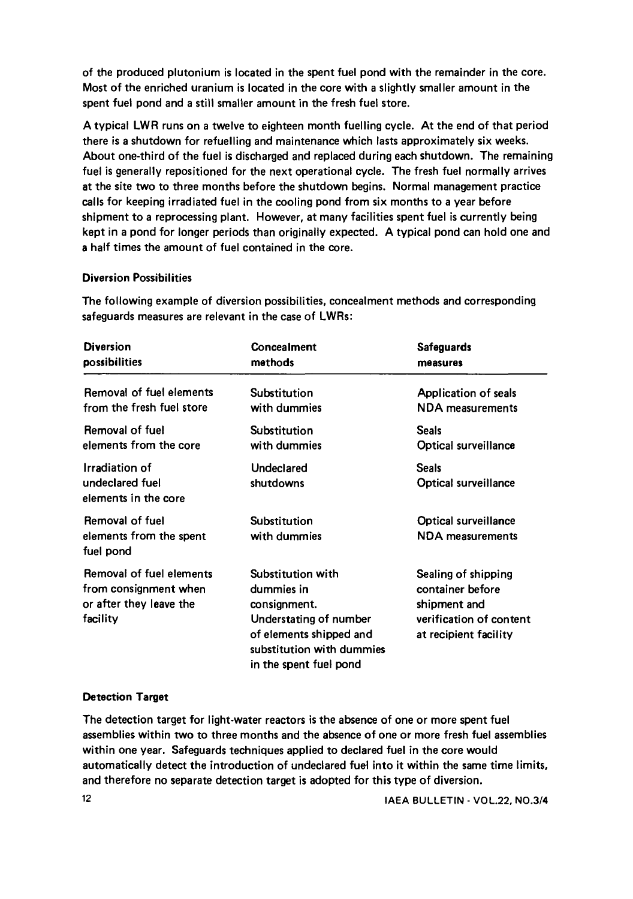of the produced plutonium is located in the spent fuel pond with the remainder in the core. Most of the enriched uranium is located in the core with a slightly smaller amount in the spent fuel pond and a still smaller amount in the fresh fuel store.

A typical LWR runs on a twelve to eighteen month fuelling cycle. At the end of that period there is a shutdown for refuelling and maintenance which lasts approximately six weeks. About one-third of the fuel is discharged and replaced during each shutdown. The remaining fuel is generally repositioned for the next operational cycle. The fresh fuel normally arrives at the site two to three months before the shutdown begins. Normal management practice calls for keeping irradiated fuel in the cooling pond from six months to a year before shipment to a reprocessing plant. However, at many facilities spent fuel is currently being kept in a pond for longer periods than originally expected. A typical pond can hold one and a half times the amount of fuel contained in the core.

## **Diversion Possibilities**

| <b>Diversion</b>                                                                                | <b>Concealment</b>                                                                                                                                          | <b>Safeguards</b>                                                                                           |
|-------------------------------------------------------------------------------------------------|-------------------------------------------------------------------------------------------------------------------------------------------------------------|-------------------------------------------------------------------------------------------------------------|
| possibilities                                                                                   | methods                                                                                                                                                     | measures                                                                                                    |
| <b>Removal of fuel elements</b>                                                                 | Substitution                                                                                                                                                | <b>Application of seals</b>                                                                                 |
| from the fresh fuel store                                                                       | with dummies                                                                                                                                                | <b>NDA</b> measurements                                                                                     |
| Removal of fuel                                                                                 | <b>Substitution</b>                                                                                                                                         | <b>Seals</b>                                                                                                |
| elements from the core                                                                          | with dummies                                                                                                                                                | Optical surveillance                                                                                        |
| Irradiation of<br>undeclared fuel<br>elements in the core                                       | <b>Undeclared</b><br>shutdowns                                                                                                                              | <b>Seals</b><br>Optical surveillance                                                                        |
| Removal of fuel<br>elements from the spent<br>fuel pond                                         | Substitution<br>with dummies                                                                                                                                | <b>Optical surveillance</b><br><b>NDA</b> measurements                                                      |
| <b>Removal of fuel elements</b><br>from consignment when<br>or after they leave the<br>facility | Substitution with<br>dummies in<br>consignment.<br>Understating of number<br>of elements shipped and<br>substitution with dummies<br>in the spent fuel pond | Sealing of shipping<br>container before<br>shipment and<br>verification of content<br>at recipient facility |

The following example of diversion possibilities, concealment methods and corresponding safeguards measures are relevant in the case of LWRs:

## **Detection Target**

The detection target for light-water reactors is the absence of one or more spent fuel assemblies within two to three months and the absence of one or more fresh fuel assemblies within one year. Safeguards techniques applied to declared fuel in the core would automatically detect the introduction of undeclared fuel into it within the same time limits, and therefore no separate detection target is adopted for this type of diversion.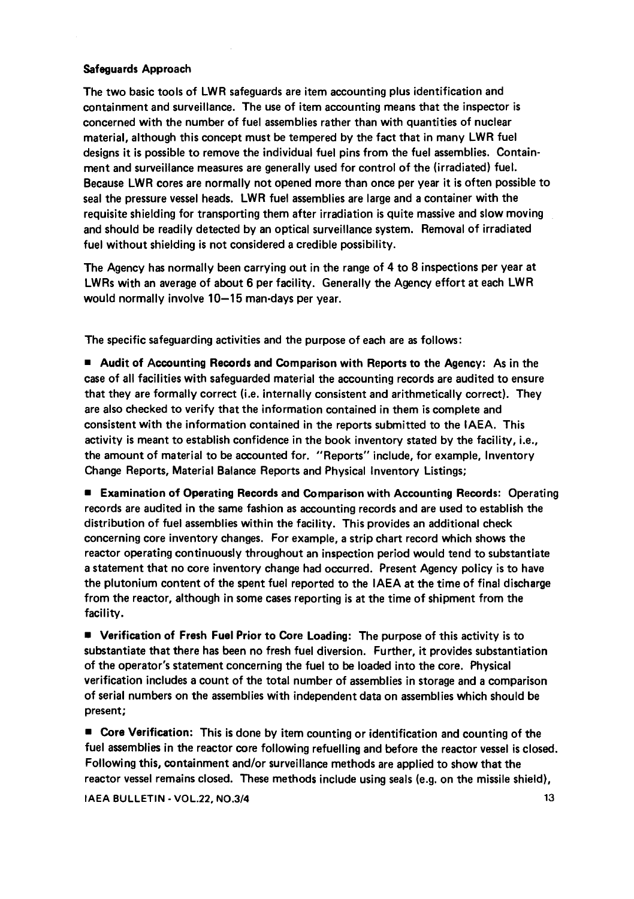#### **Safeguards Approach**

The two basic tools of LWR safeguards are item accounting plus identification and containment and surveillance. The use of item accounting means that the inspector is concerned with the number of fuel assemblies rather than with quantities of nuclear material, although this concept must be tempered by the fact that in many LWR fuel designs it is possible to remove the individual fuel pins from the fuel assemblies. Containment and surveillance measures are generally used for control of the (irradiated) fuel. Because LWR cores are normally not opened more than once per year it is often possible to seal the pressure vessel heads. LWR fuel assemblies are large and a container with the requisite shielding for transporting them after irradiation is quite massive and slow moving and should be readily detected by an optical surveillance system. Removal of irradiated fuel without shielding is not considered a credible possibility.

The Agency has normally been carrying out in the range of 4 to 8 inspections per year at LWRs with an average of about 6 per facility. Generally the Agency effort at each LWR would normally involve 10—15 man-days per year.

The specific safeguarding activities and the purpose of each are as follows:

**• Audit of Accounting Records and Comparison with Reports to the Agency:** As in the case of all facilities with safeguarded material the accounting records are audited to ensure that they are formally correct (i.e. internally consistent and arithmetically correct). They are also checked to verify that the information contained in them is complete and consistent with the information contained in the reports submitted to the IAEA. This activity is meant to establish confidence in the book inventory stated by the facility, i.e., the amount of material to be accounted for. "Reports" include, for example. Inventory Change Reports, Material Balance Reports and Physical Inventory Listings;

**• Examination of Operating Records and Comparison with Accounting Records:** Operating records are audited in the same fashion as accounting records and are used to establish the distribution of fuel assemblies within the facility. This provides an additional check concerning core inventory changes. For example, a strip chart record which shows the reactor operating continuously throughout an inspection period would tend to substantiate a statement that no core inventory change had occurred. Present Agency policy is to have the plutonium content of the spent fuel reported to the IAEA at the time of final discharge from the reactor, although in some cases reporting is at the time of shipment from the facility.

**• Verification of Fresh Fuel Prior to Core Loading:** The purpose of this activity is to substantiate that there has been no fresh fuel diversion. Further, it provides substantiation of the operator's statement concerning the fuel to be loaded into the core. Physical verification includes a count of the total number of assemblies in storage and a comparison of serial numbers on the assemblies with independent data on assemblies which should be present;

**• Core Verification:** This is done by item counting or identification and counting of the fuel assemblies in the reactor core following refuelling and before the reactor vessel is closed. Following this, containment and/or surveillance methods are applied to show that the reactor vessel remains closed. These methods include using seals (e.g. on the missile shield),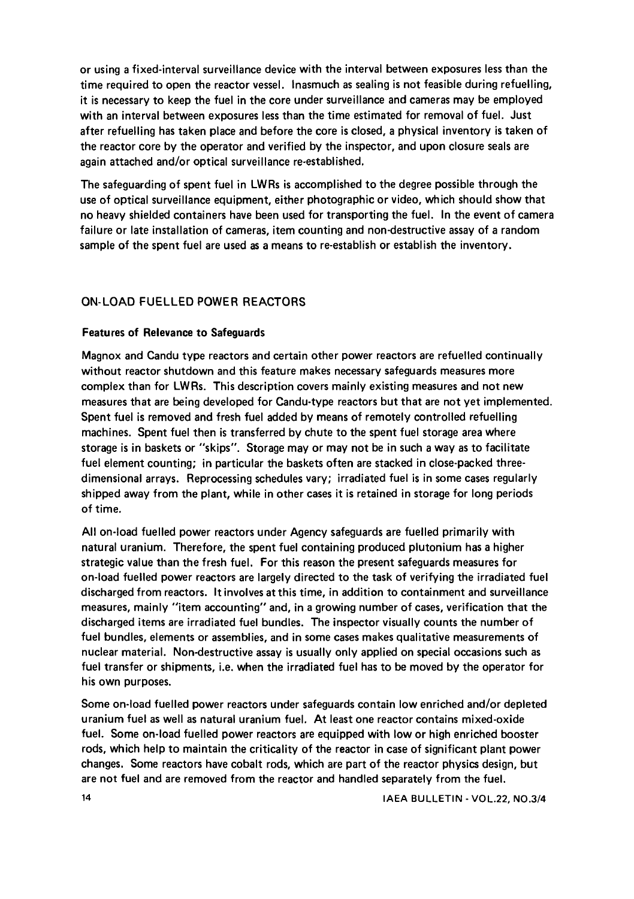or using a fixed-interval surveillance device with the interval between exposures less than the time required to open the reactor vessel. Inasmuch as sealing is not feasible during refuelling, it is necessary to keep the fuel in the core under surveillance and cameras may be employed with an interval between exposures less than the time estimated for removal of fuel. Just after refuelling has taken place and before the core is closed, a physical inventory is taken of the reactor core by the operator and verified by the inspector, and upon closure seals are again attached and/or optical surveillance re-established.

The safeguarding of spent fuel in LWRs is accomplished to the degree possible through the use of optical surveillance equipment, either photographic or video, which should show that no heavy shielded containers have been used for transporting the fuel. In the event of camera failure or late installation of cameras, item counting and non-destructive assay of a random sample of the spent fuel are used as a means to re-establish or establish the inventory.

## ONLOAD FUELLED POWER REACTORS

#### **Features of Relevance to Safeguards**

Magnox and Candu type reactors and certain other power reactors are refuelled continually without reactor shutdown and this feature makes necessary safeguards measures more complex than for LWRs. This description covers mainly existing measures and not new measures that are being developed for Candu-type reactors but that are not yet implemented. Spent fuel is removed and fresh fuel added by means of remotely controlled refuelling machines. Spent fuel then is transferred by chute to the spent fuel storage area where storage is in baskets or "skips". Storage may or may not be in such a way as to facilitate fuel element counting; in particular the baskets often are stacked in close-packed threedimensional arrays. Reprocessing schedules vary; irradiated fuel is in some cases regularly shipped away from the plant, while in other cases it is retained in storage for long periods of time.

All on-load fuelled power reactors under Agency safeguards are fuelled primarily with natural uranium. Therefore, the spent fuel containing produced plutonium has a higher strategic value than the fresh fuel. For this reason the present safeguards measures for on-load fuelled power reactors are largely directed to the task of verifying the irradiated fuel discharged from reactors. It involves at this time, in addition to containment and surveillance measures, mainly "item accounting" and, in a growing number of cases, verification that the discharged items are irradiated fuel bundles. The inspector visually counts the number of fuel bundles, elements or assemblies, and in some cases makes qualitative measurements of nuclear material. Non-destructive assay is usually only applied on special occasions such as fuel transfer or shipments, i.e. when the irradiated fuel has to be moved by the operator for his own purposes.

Some on-load fuelled power reactors under safeguards contain low enriched and/or depleted uranium fuel as well as natural uranium fuel. At least one reactor contains mixed-oxide fuel. Some on-load fuelled power reactors are equipped with low or high enriched booster rods, which help to maintain the criticality of the reactor in case of significant plant power changes. Some reactors have cobalt rods, which are part of the reactor physics design, but are not fuel and are removed from the reactor and handled separately from the fuel.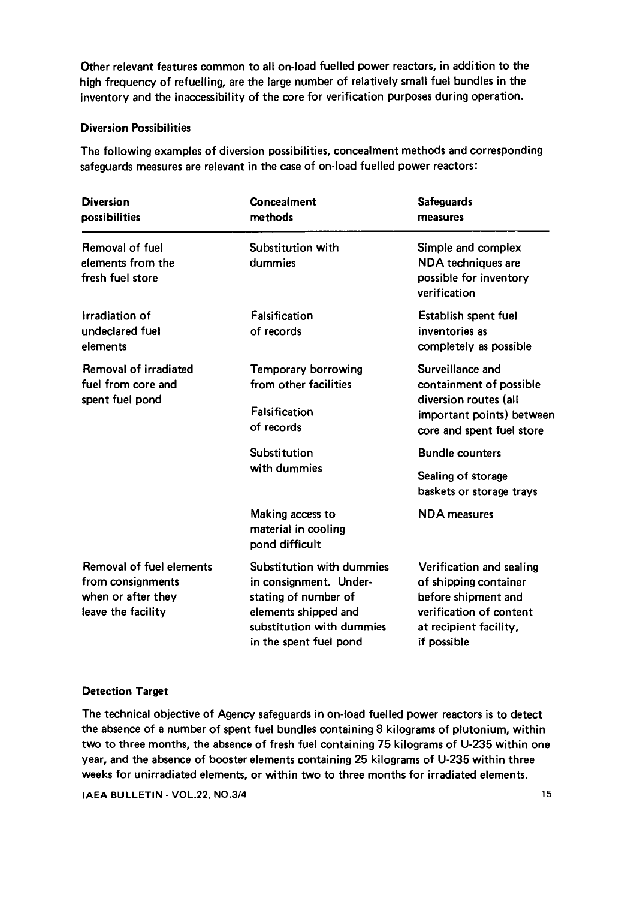Other relevant features common to all on-load fuelled power reactors, in addition to the high frequency of refuelling, are the large number of relatively small fuel bundles in the inventory and the inaccessibility of the core for verification purposes during operation.

#### **Diversion Possibilities**

The following examples of diversion possibilities, concealment methods and corresponding safeguards measures are relevant in the case of on-load fuelled power reactors:

| <b>Diversion</b><br>possibilities                                                                                                                                                           | Concealment<br>methods                                                                                                                                     | <b>Safeguards</b><br>measures                                                                                                                |
|---------------------------------------------------------------------------------------------------------------------------------------------------------------------------------------------|------------------------------------------------------------------------------------------------------------------------------------------------------------|----------------------------------------------------------------------------------------------------------------------------------------------|
| <b>Removal of fuel</b><br>elements from the<br>fresh fuel store                                                                                                                             | Substitution with<br>dummies                                                                                                                               | Simple and complex<br><b>NDA</b> techniques are<br>possible for inventory<br>verification                                                    |
| Irradiation of<br>undeclared fuel<br>elements                                                                                                                                               | <b>Falsification</b><br>of records                                                                                                                         | Establish spent fuel<br>inventories as<br>completely as possible                                                                             |
| Removal of irradiated<br><b>Temporary borrowing</b><br>fuel from core and<br>from other facilities<br>spent fuel pond<br><b>Falsification</b><br>of records<br>Substitution<br>with dummies |                                                                                                                                                            | Surveillance and<br>containment of possible<br>diversion routes (all<br>important points) between<br>core and spent fuel store               |
|                                                                                                                                                                                             |                                                                                                                                                            | <b>Bundle counters</b>                                                                                                                       |
|                                                                                                                                                                                             |                                                                                                                                                            | Sealing of storage<br>baskets or storage trays                                                                                               |
|                                                                                                                                                                                             | Making access to<br>material in cooling<br>pond difficult                                                                                                  | <b>NDA</b> measures                                                                                                                          |
| <b>Removal of fuel elements</b><br>from consignments<br>when or after they<br>leave the facility                                                                                            | Substitution with dummies<br>in consignment. Under-<br>stating of number of<br>elements shipped and<br>substitution with dummies<br>in the spent fuel pond | Verification and sealing<br>of shipping container<br>before shipment and<br>verification of content<br>at recipient facility,<br>if possible |

#### **Detection Target**

The technical objective of Agency safeguards in on-load fuelled power reactors is to detect the absence of a number of spent fuel bundles containing 8 kilograms of plutonium, within two to three months, the absence of fresh fuel containing 75 kilograms of U-235 within one year, and the absence of booster elements containing 25 kilograms of U-235 within three weeks for unirradiated elements, or within two to three months for irradiated elements.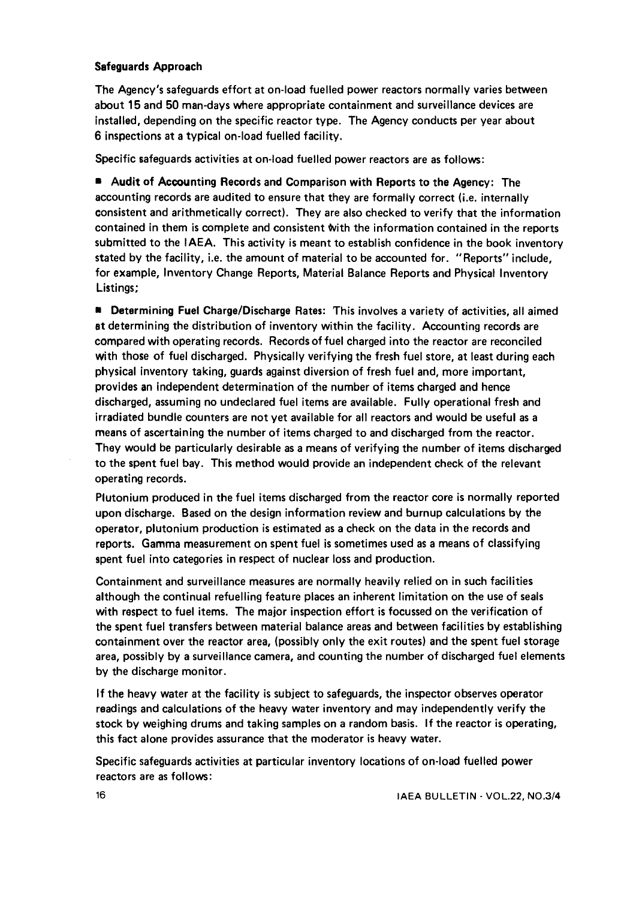#### **Safeguards Approach**

The Agency's safeguards effort at on-load fuelled power reactors normally varies between about 15 and 50 man-days where appropriate containment and surveillance devices are installed, depending on the specific reactor type. The Agency conducts per year about 6 inspections at a typical on-load fuelled facility.

Specific safeguards activities at on-load fuelled power reactors are as follows:

**• Audit of Accounting Records and Comparison with Reports to the Agency:** The accounting records are audited to ensure that they are formally correct (i.e. internally consistent and arithmetically correct). They are also checked to verify that the information contained in them is complete and consistent with the information contained in the reports submitted to the IAEA. This activity is meant to establish confidence in the book inventory stated by the facility, i.e. the amount of material to be accounted for. "Reports" include, for example, Inventory Change Reports, Material Balance Reports and Physical Inventory Listings;

**• Determining Fuel Charge/Discharge Rates:** This involves a variety of activities, all aimed at determining the distribution of inventory within the facility. Accounting records are compared with operating records. Records of fuel charged into the reactor are reconciled With those of fuel discharged. Physically verifying the fresh fuel store, at least during each physical inventory taking, guards against diversion of fresh fuel and, more important, provides an independent determination of the number of items charged and hence discharged, assuming no undeclared fuel items are available. Fully operational fresh and irradiated bundle counters are not yet available for all reactors and would be useful as a means of ascertaining the number of items charged to and discharged from the reactor. They would be particularly desirable as a means of verifying the number of items discharged to the spent fuel bay. This method would provide an independent check of the relevant operating records.

Plutonium produced in the fuel items discharged from the reactor core is normally reported upon discharge. Based on the design information review and burnup calculations by the operator, plutonium production is estimated as a check on the data in the records and reports. Gamma measurement on spent fuel is sometimes used as a means of classifying spent fuel into categories in respect of nuclear loss and production.

Containment and surveillance measures are normally heavily relied on in such facilities although the continual refuelling feature places an inherent limitation on the use of seals with respect to fuel items. The major inspection effort is focussed on the verification of the spent fuel transfers between material balance areas and between facilities by establishing containment over the reactor area, (possibly only the exit routes) and the spent fuel storage area, possibly by a surveillance camera, and counting the number of discharged fuel elements by the discharge monitor.

If the heavy water at the facility is subject to safeguards, the inspector observes operator readings and calculations of the heavy water inventory and may independently verify the stock by weighing drums and taking samples on a random basis. If the reactor is operating, this fact alone provides assurance that the moderator is heavy water.

Specific safeguards activities at particular inventory locations of on-load fuelled power reactors are as follows: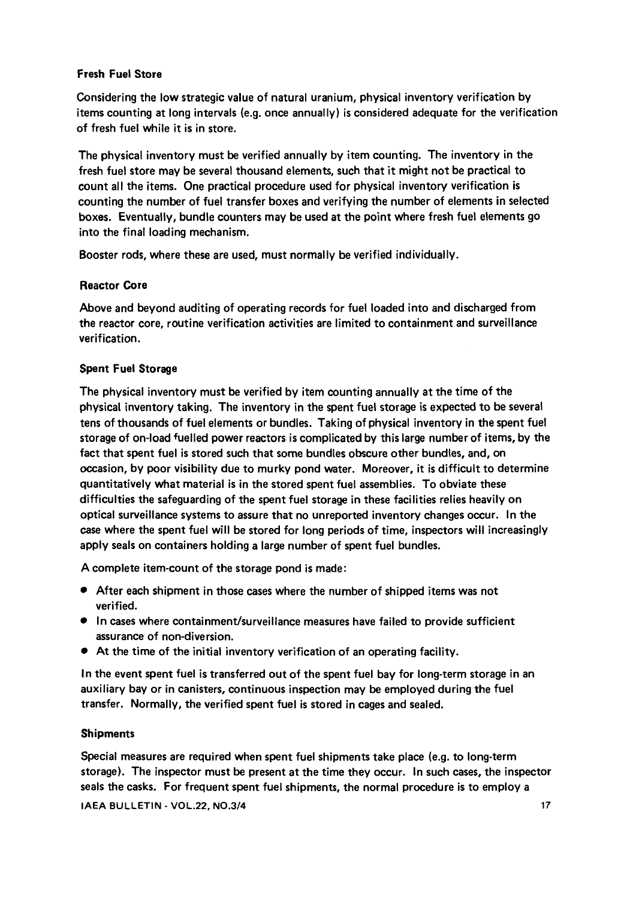## **Fresh Fuel Store**

Considering the low strategic value of natural uranium, physical inventory verification by items counting at long intervals (e.g. once annually) is considered adequate for the verification of fresh fuel while it is in store.

The physical inventory must be verified annually by item counting. The inventory in the fresh fuel store may be several thousand elements, such that it might not be practical to count all the items. One practical procedure used for physical inventory verification is counting the number of fuel transfer boxes and verifying the number of elements in selected boxes. Eventually, bundle counters may be used at the point where fresh fuel elements go into the final loading mechanism.

Booster rods, where these are used, must normally be verified individually.

# **Reactor Core**

Above and beyond auditing of operating records for fuel loaded into and discharged from the reactor core, routine verification activities are limited to containment and surveillance verification.

# **Spent Fuel Storage**

The physical inventory must be verified by item counting annually at the time of the physical inventory taking. The inventory in the spent fuel storage is expected to be several tens of thousands of fuel elements or bundles. Taking of physical inventory in the spent fuel storage of on-load fuelled power reactors is complicated by this large number of items, by the fact that spent fuel is stored such that some bundles obscure other bundles, and, on occasion, by poor visibility due to murky pond water. Moreover, it is difficult to determine quantitatively what material is in the stored spent fuel assemblies. To obviate these difficulties the safeguarding of the spent fuel storage in these facilities relies heavily on optical surveillance systems to assure that no unreported inventory changes occur. In the case where the spent fuel will be stored for long periods of time, inspectors will increasingly apply seals on containers holding a large number of spent fuel bundles.

A complete item-count of the storage pond is made:

- After each shipment in those cases where the number of shipped items was not verified.
- In cases where containment/surveillance measures have failed to provide sufficient assurance of non-diversion.
- At the time of the initial inventory verification of an operating facility.

In the event spent fuel is transferred out of the spent fuel bay for long-term storage in an auxiliary bay or in canisters, continuous inspection may be employed during the fuel transfer. Normally, the verified spent fuel is stored in cages and sealed.

## **Shipments**

Special measures are required when spent fuel shipments take place (e.g. to long-term storage). The inspector must be present at the time they occur. In such cases, the inspector seals the casks. For frequent spent fuel shipments, the normal procedure is to employ a **IAEA BULLETIN - VOL.22, NO.3/4 17 17**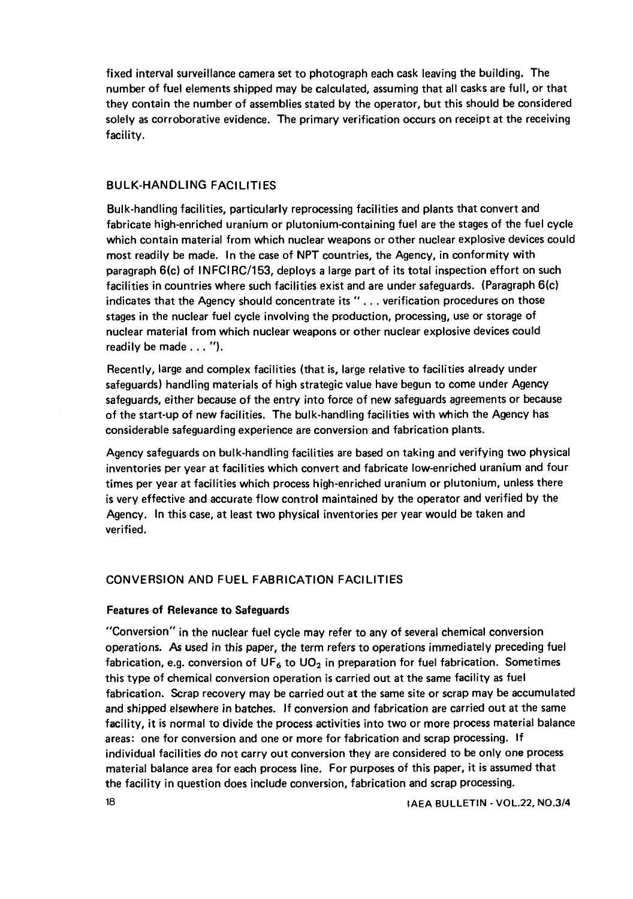fixed interval surveillance camera set to photograph each cask leaving the building. The number of fuel elements shipped may be calculated, assuming that all casks are full, or that they contain the number of assemblies stated by the operator, but this should be considered solely as corroborative evidence. The primary verification occurs on receipt at the receiving facility.

## BULK-HANDLING FACILITIES

Bulk-handling facilities, particularly reprocessing facilities and plants that convert and fabricate high-enriched uranium or plutonium-containing fuel are the stages of the fuel cycle which contain material from which nuclear weapons or other nuclear explosive devices could most readily be made. In the case of NPT countries, the Agency, in conformity with paragraph 6(c) of INFCIRC/153, deploys a large part of its total inspection effort on such facilities in countries where such facilities exist and are under safeguards. (Paragraph 6(c) indicates that the Agency should concentrate its "... verification procedures on those stages in the nuclear fuel cycle involving the production, processing, use or storage of nuclear material from which nuclear weapons or other nuclear explosive devices could readily be made...").

Recently, large and complex facilities (that is, large relative to facilities already under safeguards) handling materials of high strategic value have begun to come under Agency safeguards, either because of the entry into force of new safeguards agreements or because of the start-up of new facilities. The bulk-handling facilities with which the Agency has considerable safeguarding experience are conversion and fabrication plants.

Agency safeguards on bulk-handling facilities are based on taking and verifying two physical inventories per year at facilities which convert and fabricate low-enriched uranium and four times per year at facilities which process high-enriched uranium or plutonium, unless there is very effective and accurate flow control maintained by the operator and verified by the Agency. In this case, at least two physical inventories per year would be taken and verified.

## CONVERSION AND FUEL FABRICATION FACILITIES

#### **Features of Relevance to Safeguards**

"Conversion" in the nuclear fuel cycle may refer to any of several chemical conversion operations. As used in this paper, the term refers to operations immediately preceding fuel fabrication, e.g. conversion of  $UF_6$  to  $UO_2$  in preparation for fuel fabrication. Sometimes this type of chemical conversion operation is carried out at the same facility as fuel fabrication. Scrap recovery may be carried out at the same site or scrap may be accumulated and shipped elsewhere in batches. If conversion and fabrication are carried out at the same facility, it is normal to divide the process activities into two or more process material balance areas: one for conversion and one or more for fabrication and scrap processing. If individual facilities do not carry out conversion they are considered to be only one process material balance area for each process line. For purposes of this paper, it is assumed that the facility in question does include conversion, fabrication and scrap processing.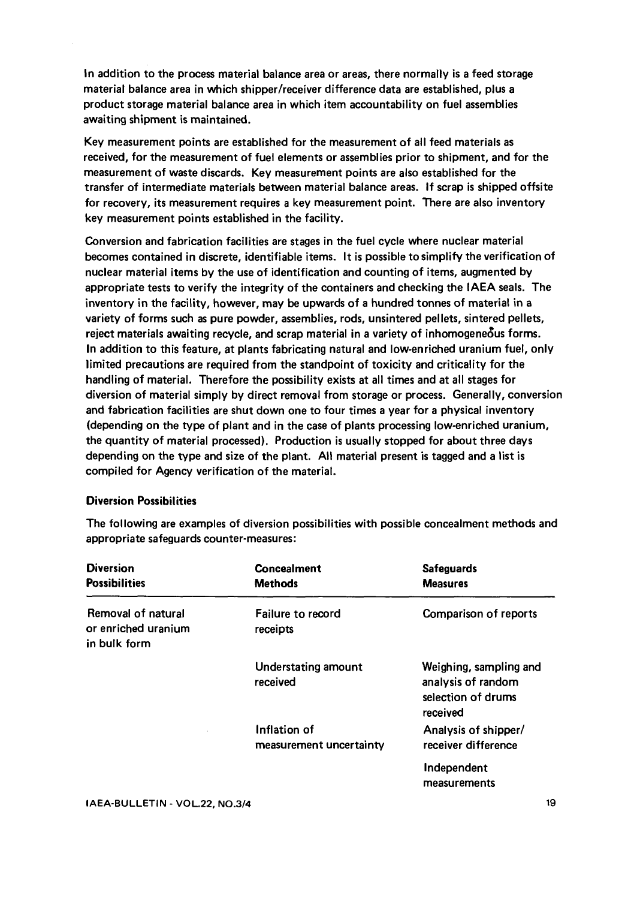In addition to the process material balance area or areas, there normally is a feed storage material balance area in which shipper/receiver difference data are established, plus a product storage material balance area in which item accountability on fuel assemblies awaiting shipment is maintained.

Key measurement points are established for the measurement of all feed materials as received, for the measurement of fuel elements or assemblies prior to shipment, and for the measurement of waste discards. Key measurement points are also established for the transfer of intermediate materials between material balance areas. If scrap is shipped offsite for recovery, its measurement requires a key measurement point. There are also inventory key measurement points established in the facility.

Conversion and fabrication facilities are stages in the fuel cycle where nuclear material becomes contained in discrete, identifiable items. It is possible to simplify the verification of nuclear material items by the use of identification and counting of items, augmented by appropriate tests to verify the integrity of the containers and checking the IAEA seals. The inventory in the facility, however, may be upwards of a hundred tonnes of material in a variety of forms such as pure powder, assemblies, rods, unsintered pellets, sintered pellets, reject materials awaiting recycle, and scrap material in a variety of inhomogeneSus forms. In addition to this feature, at plants fabricating natural and low-enriched uranium fuel, only limited precautions are required from the standpoint of toxicity and criticality for the handling of material. Therefore the possibility exists at all times and at all stages for diversion of material simply by direct removal from storage or process. Generally, conversion and fabrication facilities are shut down one to four times a year for a physical inventory (depending on the type of plant and in the case of plants processing low-enriched uranium, the quantity of material processed). Production is usually stopped for about three days depending on the type and size of the plant. All material present is tagged and a list is compiled for Agency verification of the material.

#### **Diversion Possibilities**

The following are examples of diversion possibilities with possible concealment methods and appropriate safeguards counter-measures:

| <b>Diversion</b><br><b>Possibilities</b>                         | <b>Concealment</b><br><b>Methods</b>                                       | <b>Safeguards</b><br><b>Measures</b>                                           |
|------------------------------------------------------------------|----------------------------------------------------------------------------|--------------------------------------------------------------------------------|
| <b>Removal of natural</b><br>or enriched uranium<br>in bulk form | Failure to record<br>receipts                                              | Comparison of reports                                                          |
|                                                                  | Understating amount<br>received<br>Inflation of<br>measurement uncertainty | Weighing, sampling and<br>analysis of random<br>selection of drums<br>received |
|                                                                  |                                                                            | Analysis of shipper/<br>receiver difference                                    |
|                                                                  |                                                                            | Independent<br>measurements                                                    |
|                                                                  |                                                                            | "                                                                              |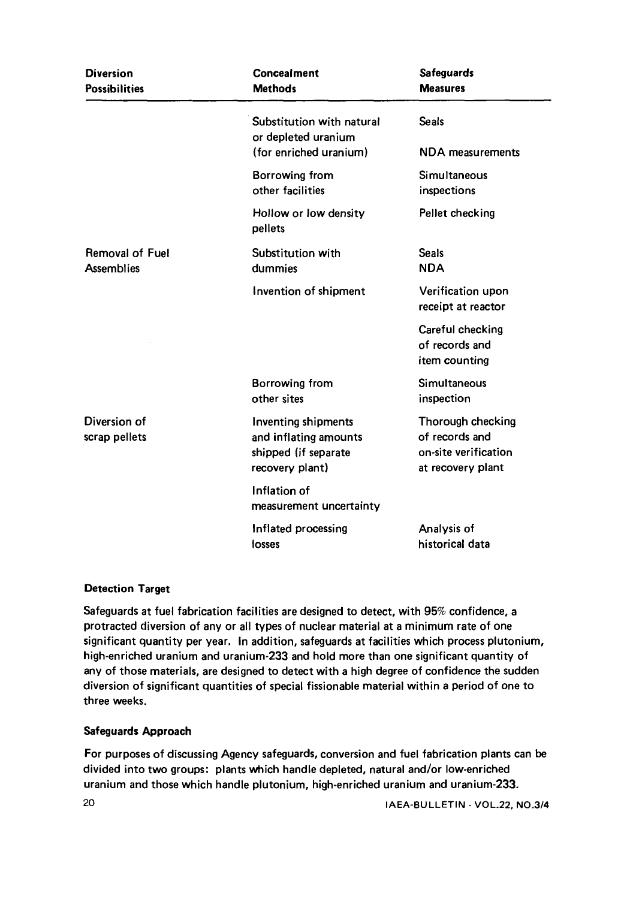| <b>Diversion</b><br><b>Possibilities</b>    | Concealment<br><b>Methods</b>                                                           | <b>Safeguards</b><br><b>Measures</b>                                             |
|---------------------------------------------|-----------------------------------------------------------------------------------------|----------------------------------------------------------------------------------|
|                                             | Substitution with natural<br>or depleted uranium<br>(for enriched uranium)              | <b>Seats</b><br><b>NDA</b> measurements                                          |
|                                             | Borrowing from<br>other facilities                                                      | Simultaneous<br>inspections                                                      |
|                                             | Hollow or low density<br>pellets                                                        | Pellet checking                                                                  |
| <b>Removal of Fuel</b><br><b>Assemblies</b> | Substitution with<br>dummies                                                            | <b>Seals</b><br><b>NDA</b>                                                       |
|                                             | Invention of shipment                                                                   | <b>Verification upon</b><br>receipt at reactor                                   |
|                                             |                                                                                         | Careful checking<br>of records and<br>item counting                              |
|                                             | Borrowing from<br>other sites                                                           | <b>Simultaneous</b><br>inspection                                                |
| Diversion of<br>scrap pellets               | Inventing shipments<br>and inflating amounts<br>shipped (if separate<br>recovery plant) | Thorough checking<br>of records and<br>on-site verification<br>at recovery plant |
|                                             | Inflation of<br>measurement uncertainty                                                 |                                                                                  |
|                                             | Inflated processing<br>losses                                                           | Analysis of<br>historical data                                                   |

## **Detection Target**

Safeguards at fuel fabrication facilities are designed to detect, with 95% confidence, a protracted diversion of any or all types of nuclear material at a minimum rate of one significant quantity per year. In addition, safeguards at facilities which process plutonium, high-enriched uranium and uranium-233 and hold more than one significant quantity of any of those materials, are designed to detect with a high degree of confidence the sudden diversion of significant quantities of special fissionable material within a period of one to three weeks.

#### **Safeguards Approach**

For purposes of discussing Agency safeguards, conversion and fuel fabrication plants can be divided into two groups: plants which handle depleted, natural and/or low-enriched uranium and those which handle plutonium, high-enriched uranium and uranium-233.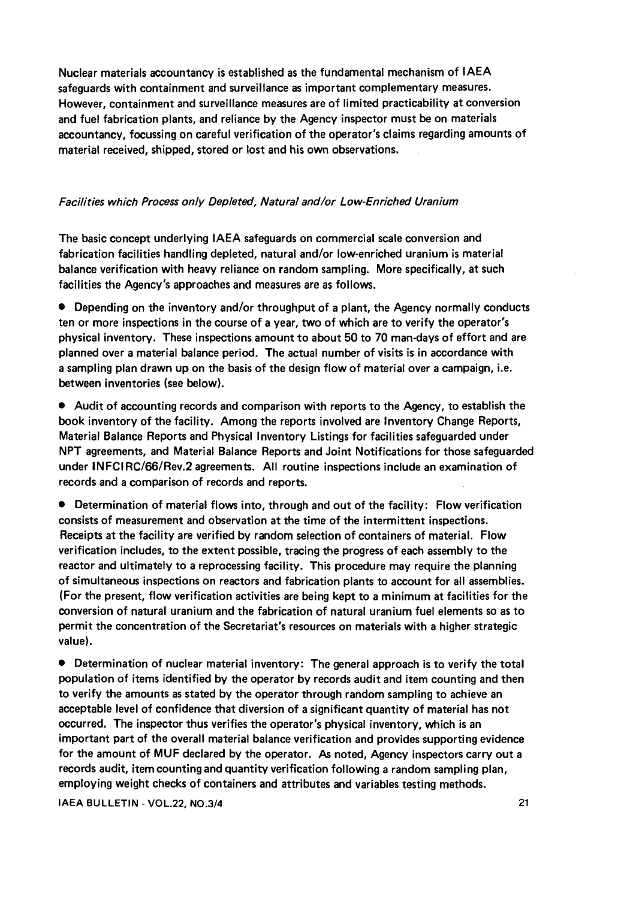Nuclear materials accountancy is established as the fundamental mechanism of IAEA safeguards with containment and surveillance as important complementary measures. However, containment and surveillance measures are of limited practicability at conversion and fuel fabrication plants, and reliance by the Agency inspector must be on materials accountancy, focussing on careful verification of the operator's claims regarding amounts of material received, shipped, stored or lost and his own observations.

## Facilities which Process only Depleted, Natural and/or Low-Enriched Uranium

The basic concept underlying IAEA safeguards on commercial scale conversion and fabrication facilities handling depleted, natural and/or low-enriched uranium is material balance verification with heavy reliance on random sampling. More specifically, at such facilities the Agency's approaches and measures are as follows.

• Depending on the inventory and/or throughput of a plant, the Agency normally conducts ten or more inspections in the course of a year, two of which are to verify the operator's physical inventory. These inspections amount to about 50 to 70 man-days of effort and are planned over a material balance period. The actual number of visits is in accordance with a sampling plan drawn up on the basis of the design flow of material over a campaign, i.e. between inventories (see below).

• Audit of accounting records and comparison with reports to the Agency, to establish the book inventory of the facility. Among the reports involved are Inventory Change Reports, Material Balance Reports and Physical Inventory Listings for facilities safeguarded under NPT agreements, and Material Balance Reports and Joint Notifications for those safeguarded under INFCIRC/66/Rev.2 agreements. All routine inspections include an examination of records and a comparison of records and reports.

• Determination of material flows into, through and out of the facility: Flow verification consists of measurement and observation at the time of the intermittent inspections. Receipts at the facility are verified by random selection of containers of material. Flow verification includes, to the extent possible, tracing the progress of each assembly to the reactor and ultimately to a reprocessing facility. This procedure may require the planning of simultaneous inspections on reactors and fabrication plants to account for all assemblies. (For the present, flow verification activities are being kept to a minimum at facilities for the conversion of natural uranium and the fabrication of natural uranium fuel elements so as to permit the concentration of the Secretariat's resources on materials with a higher strategic value).

• Determination of nuclear material inventory: The general approach is to verify the total population of items identified by the operator by records audit and item counting and then to verify the amounts as stated by the operator through random sampling to achieve an acceptable level of confidence that diversion of a significant quantity of material has not occurred. The inspector thus verifies the operator's physical inventory, which is an important part of the overall material balance verification and provides supporting evidence for the amount of MUF declared by the operator. As noted, Agency inspectors carry out a records audit, item counting and quantity verification following a random sampling plan, employing weight checks of containers and attributes and variables testing methods.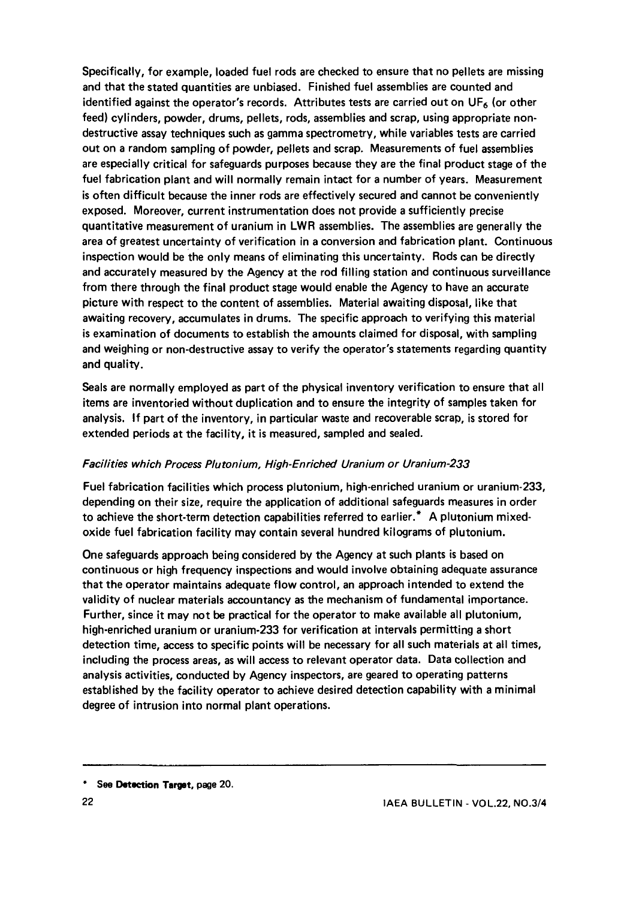Specifically, for example, loaded fuel rods are checked to ensure that no pellets are missing and that the stated quantities are unbiased. Finished fuel assemblies are counted and identified against the operator's records. Attributes tests are carried out on  $UF<sub>6</sub>$  (or other feed) cylinders, powder, drums, pellets, rods, assemblies and scrap, using appropriate nondestructive assay techniques such as gamma spectrometry, while variables tests are carried out on a random sampling of powder, pellets and scrap. Measurements of fuel assemblies are especially critical for safeguards purposes because they are the final product stage of the fuel fabrication plant and will normally remain intact for a number of years. Measurement is often difficult because the inner rods are effectively secured and cannot be conveniently exposed. Moreover, current instrumentation does not provide a sufficiently precise quantitative measurement of uranium in LWR assemblies. The assemblies are generally the area of greatest uncertainty of verification in a conversion and fabrication plant. Continuous inspection would be the only means of eliminating this uncertainty. Rods can be directly and accurately measured by the Agency at the rod filling station and continuous surveillance from there through the final product stage would enable the Agency to have an accurate picture with respect to the content of assemblies. Material awaiting disposal, like that awaiting recovery, accumulates in drums. The specific approach to verifying this material is examination of documents to establish the amounts claimed for disposal, with sampling and weighing or non-destructive assay to verify the operator's statements regarding quantity and quality.

Seals are normally employed as part of the physical inventory verification to ensure that all items are inventoried without duplication and to ensure the integrity of samples taken for analysis. If part of the inventory, in particular waste and recoverable scrap, is stored for extended periods at the facility, it is measured, sampled and sealed.

## Facilities which Process Plutonium, High-Enriched Uranium or Uranium-233

Fuel fabrication facilities which process plutonium, high-enriched uranium or uranium-233, depending on their size, require the application of additional safeguards measures in order to achieve the short-term detection capabilities referred to earlier.\* A plutonium mixedoxide fuel fabrication facility may contain several hundred kilograms of plutonium.

One safeguards approach being considered by the Agency at such plants is based on continuous or high frequency inspections and would involve obtaining adequate assurance that the operator maintains adequate flow control, an approach intended to extend the validity of nuclear materials accountancy as the mechanism of fundamental importance. Further, since it may not be practical for the operator to make available all plutonium, high-enriched uranium or uranium-233 for verification at intervals permitting a short detection time, access to specific points will be necessary for all such materials at all times, including the process areas, as will access to relevant operator data. Data collection and analysis activities, conducted by Agency inspectors, are geared to operating patterns established by the facility operator to achieve desired detection capability with a minimal degree of intrusion into normal plant operations.

**<sup>\*</sup>** See **Detection Target,** page 20.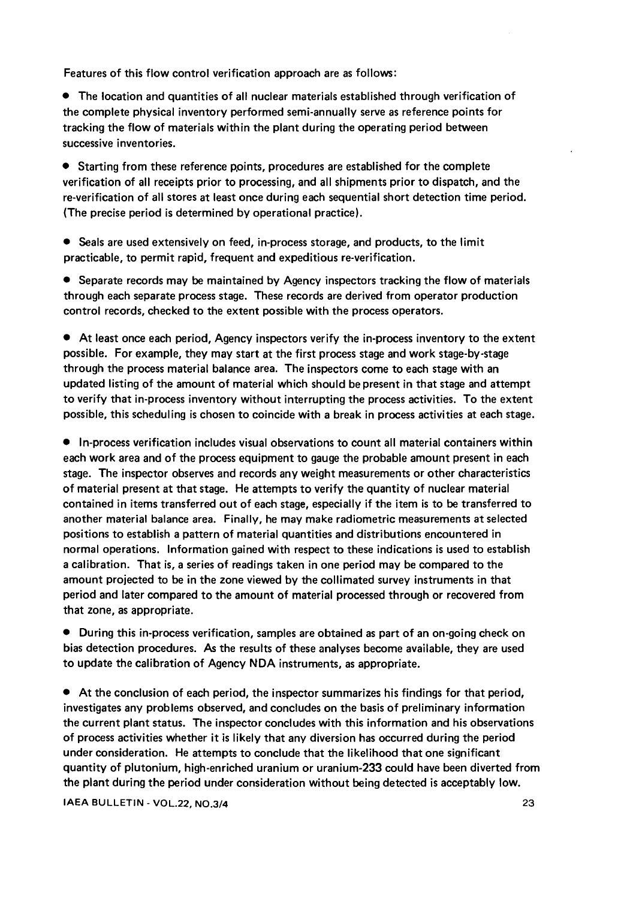Features of this flow control verification approach are as follows:

• The location and quantities of all nuclear materials established through verification of the complete physical inventory performed semi-annually serve as reference points for tracking the flow of materials within the plant during the operating period between successive inventories.

• Starting from these reference points, procedures are established for the complete verification of all receipts prior to processing, and all shipments prior to dispatch, and the re-verification of all stores at least once during each sequential short detection time period. (The precise period is determined by operational practice).

• Seals are used extensively on feed, in-process storage, and products, to the limit practicable, to permit rapid, frequent and expeditious re-verification.

• Separate records may be maintained by Agency inspectors tracking the flow of materials through each separate process stage. These records are derived from operator production control records, checked to the extent possible with the process operators.

• At least once each period, Agency inspectors verify the in-process inventory to the extent possible. For example, they may start at the first process stage and work stage-by-stage through the process material balance area. The inspectors come to each stage with an updated listing of the amount of material which should be present in that stage and attempt to verify that in-process inventory without interrupting the process activities. To the extent possible, this scheduling is chosen to coincide with a break in process activities at each stage.

• In-process verification includes visual observations to count all material containers within each work area and of the process equipment to gauge the probable amount present in each stage. The inspector observes and records any weight measurements or other characteristics of material present at that stage. He attempts to verify the quantity of nuclear material contained in items transferred out of each stage, especially if the item is to be transferred to another material balance area. Finally, he may make radiometric measurements at selected positions to establish a pattern of material quantities and distributions encountered in normal operations. Information gained with respect to these indications is used to establish a calibration. That is, a series of readings taken in one period may be compared to the amount projected to be in the zone viewed by the collimated survey instruments in that period and later compared to the amount of material processed through or recovered from that zone, as appropriate.

• During this in-process verification, samples are obtained as part of an on-going check on bias detection procedures. As the results of these analyses become available, they are used to update the calibration of Agency NDA instruments, as appropriate.

• At the conclusion of each period, the inspector summarizes his findings for that period, investigates any problems observed, and concludes on the basis of preliminary information the current plant status. The inspector concludes with this information and his observations of process activities whether it is likely that any diversion has occurred during the period under consideration. He attempts to conclude that the likelihood that one significant quantity of Plutonium, high-enriched uranium or uranium-233 could have been diverted from the plant during the period under consideration without being detected is acceptably low.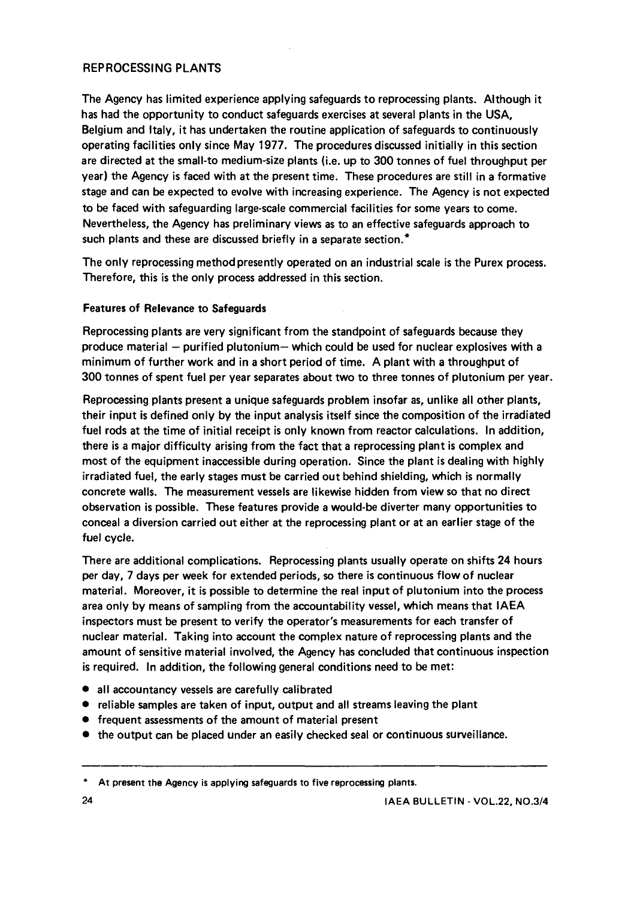## REPROCESSING PLANTS

The Agency has limited experience applying safeguards to reprocessing plants. Although it has had the opportunity to conduct safeguards exercises at several plants in the USA, Belgium and Italy, it has undertaken the routine application of safeguards to continuously operating facilities only since May 1977. The procedures discussed initially in this section are directed at the small-to medium-size plants (i.e. up to 300 tonnes of fuel throughput per year) the Agency is faced with at the present time. These procedures are still in a formative stage and can be expected to evolve with increasing experience. The Agency is not expected to be faced with safeguarding large-scale commercial facilities for some years to come. Nevertheless, the Agency has preliminary views as to an effective safeguards approach to such plants and these are discussed briefly in a separate section.\*

The only reprocessing method presently operated on an industrial scale is the Purex process. Therefore, this is the only process addressed in this section.

# Features of Relevance to Safeguards

Reprocessing plants are very significant from the standpoint of safeguards because they produce material - purified plutonium- which could be used for nuclear explosives with a minimum of further work and in a short period of time. A plant with a throughput of 300 tonnes of spent fuel per year separates about two to three tonnes of plutonium per year.

Reprocessing plants present a unique safeguards problem insofar as, unlike all other plants, their input is defined only by the input analysis itself since the composition of the irradiated fuel rods at the time of initial receipt is only known from reactor calculations. In addition, there is a major difficulty arising from the fact that a reprocessing plant is complex and most of the equipment inaccessible during operation. Since the plant is dealing with highly irradiated fuel, the early stages must be carried out behind shielding, which is normally concrete walls. The measurement vessels are likewise hidden from view so that no direct observation is possible. These features provide a would-be diverter many opportunities to conceal a diversion carried out either at the reprocessing plant or at an earlier stage of the fuel cycle.

There are additional complications. Reprocessing plants usually operate on shifts 24 hours per day, 7 days per week for extended periods, so there is continuous flow of nuclear material. Moreover, it is possible to determine the real input of plutonium into the process area only by means of sampling from the accountability vessel, which means that IAEA inspectors must be present to verify the operator's measurements for each transfer of nuclear material. Taking into account the complex nature of reprocessing plants and the amount of sensitive material involved, the Agency has concluded that continuous inspection is required. In addition, the following general conditions need to be met:

- all accountancy vessels are carefully calibrated
- reliable samples are taken of input, output and all streams leaving the plant
- frequent assessments of the amount of material present
- the output can be placed under an easily checked seal or continuous surveillance.

**<sup>\*</sup> At present the Agency is applying safeguards to five reprocessing plants.**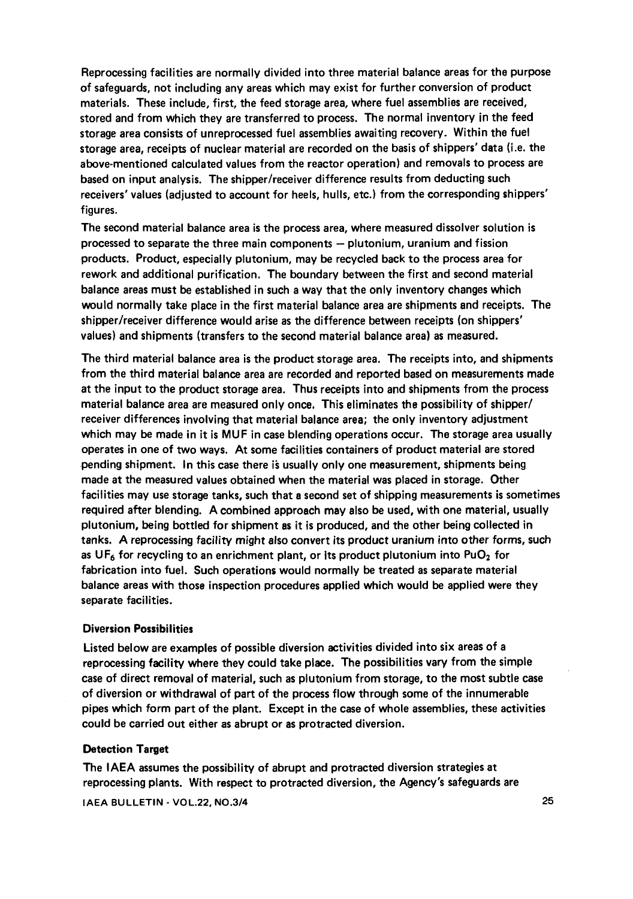Reprocessing facilities are normally divided into three material balance areas for the purpose of safeguards, not including any areas which may exist for further conversion of product materials. These include, first, the feed storage area, where fuel assemblies are received, stored and from which they are transferred to process. The normal inventory in the feed storage area consists of unreprocessed fuel assemblies awaiting recovery. Within the fuel storage area, receipts of nuclear material are recorded on the basis of shippers' data (i.e. the above-mentioned calculated values from the reactor operation) and removals to process are based on input analysis. The shipper/receiver difference results from deducting such receivers' values (adjusted to account for heels, hulls, etc.) from the corresponding shippers' figures.

The second material balance area is the process area, where measured dissolver solution is processed to separate the three main components — plutonium, uranium and fission products. Product, especially plutonium, may be recycled back to the process area for rework and additional purification. The boundary between the first and second material balance areas must be established in such a way that the only inventory changes which would normally take place in the first material balance area are shipments and receipts. The shipper/receiver difference would arise as the difference between receipts (on shippers' values) and shipments (transfers to the second material balance area) as measured.

The third material balance area is the product storage area. The receipts into, and shipments from the third material balance area are recorded and reported based on measurements made at the input to the product storage area. Thus receipts into and shipments from the process material balance area are measured only once. This eliminates the possibility of shipper/ receiver differences involving that material balance area; the only inventory adjustment which may be made in it is MUF in case blending operations occur. The storage area usually operates in one of two ways. At some facilities containers of product material are stored pending shipment. In this case there is usually only one measurement, shipments being made at the measured values obtained when the material was placed in storage. Other facilities may use storage tanks, such that a second set of shipping measurements is sometimes required after blending. A combined approach may also be used, with one material, usually plutonium, being bottled for shipment as it is produced, and the other being collected in tanks. A reprocessing facility might also convert its product uranium into other forms, such as UF<sub>6</sub> for recycling to an enrichment plant, or its product plutonium into PuO<sub>2</sub> for fabrication into fuel. Such operations would normally be treated as separate material balance areas with those inspection procedures applied which would be applied were they separate facilities.

#### Diversion Possibilities

Listed below are examples of possible diversion activities divided into six areas of a reprocessing facility where they could take place. The possibilities vary from the simple case of direct removal of material, such as plutonium from storage, to the most subtle case of diversion or withdrawal of part of the process flow through some of the innumerable pipes which form part of the plant. Except in the case of whole assemblies, these activities could be carried out either as abrupt or as protracted diversion.

#### Detection Target

The IAEA assumes the possibility of abrupt and protracted diversion strategies at reprocessing plants. With respect to protracted diversion, the Agency's safeguards are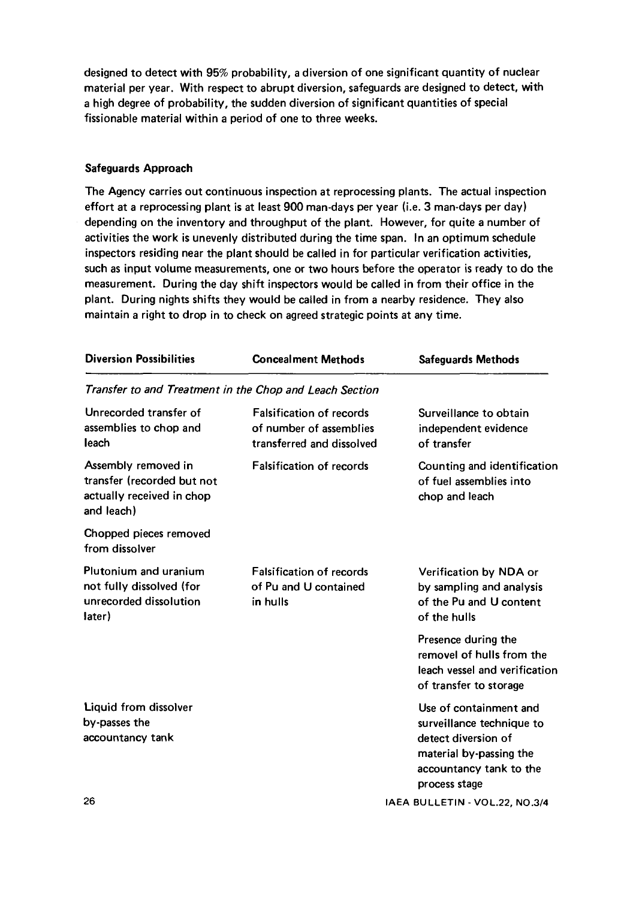designed to detect with 95% probability, a diversion of one significant quantity of nuclear material per year. With respect to abrupt diversion, safeguards are designed to detect, with a high degree of probability, the sudden diversion of significant quantities of special fissionable material within a period of one to three weeks.

#### **Safeguards Approach**

The Agency carries out continuous inspection at reprocessing plants. The actual inspection effort at a reprocessing plant is at least 900 man-days per year (i.e. 3 man-days per day) depending on the inventory and throughput of the plant. However, for quite a number of activities the work is unevenly distributed during the time span. In an optimum schedule inspectors residing near the plant should be called in for particular verification activities, such as input volume measurements, one or two hours before the operator is ready to do the measurement. During the day shift inspectors would be called in from their office in the plant. During nights shifts they would be called in from a nearby residence. They also maintain a right to drop in to check on agreed strategic points at any time.

| <b>Diversion Possibilities</b>                                                               | <b>Concealment Methods</b>                                                              | <b>Safeguards Methods</b>                                                                                                                         |
|----------------------------------------------------------------------------------------------|-----------------------------------------------------------------------------------------|---------------------------------------------------------------------------------------------------------------------------------------------------|
|                                                                                              | Transfer to and Treatment in the Chop and Leach Section                                 |                                                                                                                                                   |
| Unrecorded transfer of<br>assemblies to chop and<br>leach                                    | <b>Falsification of records</b><br>of number of assemblies<br>transferred and dissolved | Surveillance to obtain<br>independent evidence<br>of transfer                                                                                     |
| Assembly removed in<br>transfer (recorded but not<br>actually received in chop<br>and leach) | <b>Falsification of records</b>                                                         | Counting and identification<br>of fuel assemblies into<br>chop and leach                                                                          |
| Chopped pieces removed<br>from dissolver                                                     |                                                                                         |                                                                                                                                                   |
| Plutonium and uranium<br>not fully dissolved (for<br>unrecorded dissolution<br>later)        | <b>Falsification of records</b><br>of Pu and U contained<br>in hulls                    | Verification by NDA or<br>by sampling and analysis<br>of the Pu and U content<br>of the hulls                                                     |
|                                                                                              |                                                                                         | Presence during the<br>removel of hulls from the<br>leach vessel and verification<br>of transfer to storage                                       |
| <b>Liquid from dissolver</b><br>by-passes the<br>accountancy tank                            |                                                                                         | Use of containment and<br>surveillance technique to<br>detect diversion of<br>material by-passing the<br>accountancy tank to the<br>process stage |
| 26                                                                                           |                                                                                         | IAEA BULLETIN - VOL.22, NO.3/4                                                                                                                    |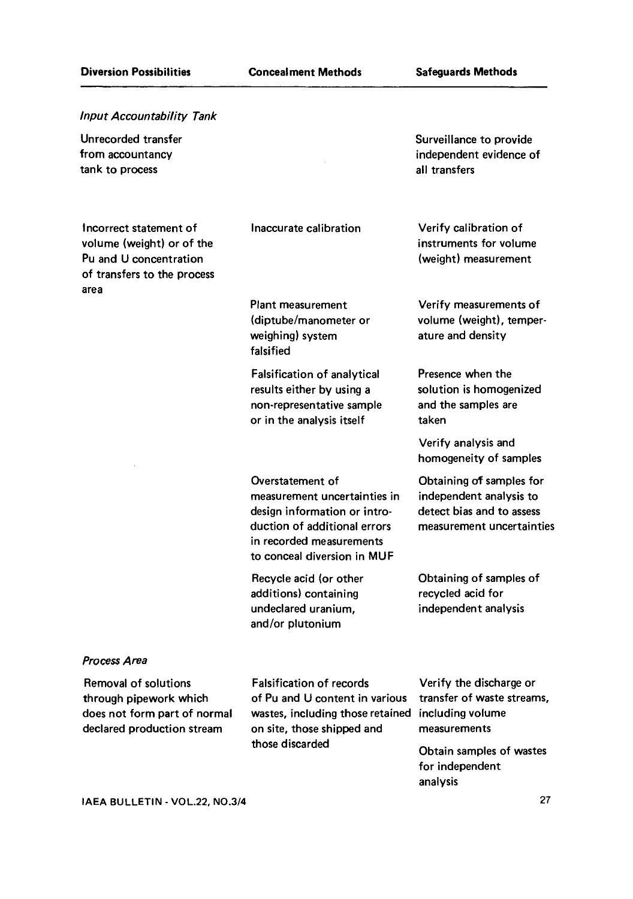Input Accountability Tank

Unrecorded transfer from accountancy tank to process

Incorrect statement of volume (weight) or of the Pu and U concentration of transfers to the process area

Inaccurate calibration

Plant measurement (diptube/manometer or weighing) system falsified

Falsification of analytical results either by using a non-representative sample or in the analysis itself

Overstatement of measurement uncertainties in design information or introduction of additional errors in recorded measurements to conceal diversion in MUF

Recycle acid (or other additions) containing undeclared uranium, and/or plutonium

Surveillance to provide independent evidence of all transfers

Verify calibration of instruments for volume (weight) measurement

Verify measurements of volume (weight), temperature and density

Presence when the solution is homogenized and the samples are taken

Verify analysis and homogeneity of samples

Obtaining of samples for independent analysis to detect bias and to assess measurement uncertainties

Obtaining of samples of recycled acid for independent analysis

#### Process Area

Removal of solutions through pipework which does not form part of normal declared production stream

Falsification of records of Pu and U content in various wastes, including those retained on site, those shipped and those discarded

Verify the discharge or transfer of waste streams, including volume measurements

Obtain samples of wastes for independent analysis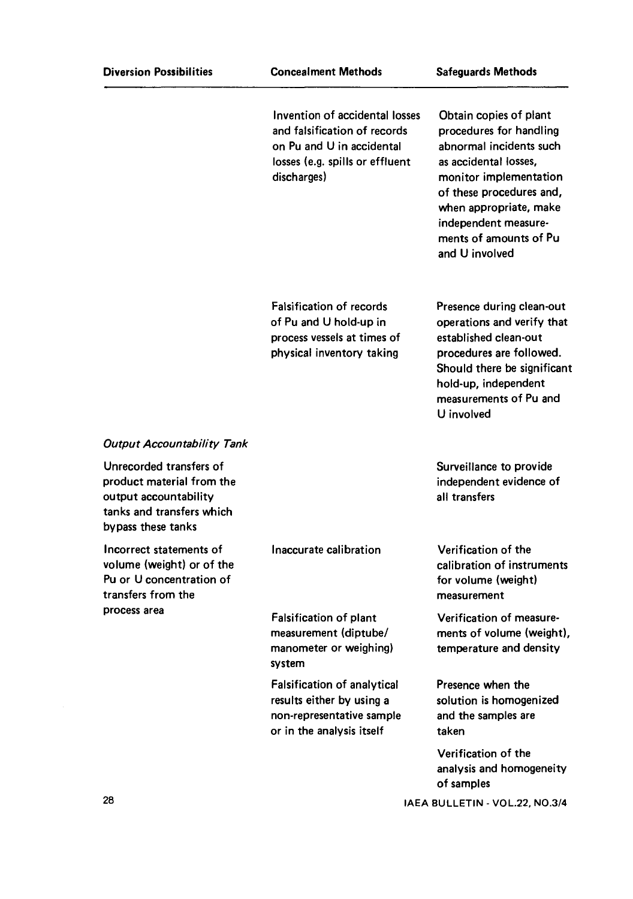Invention of accidental losses and falsification of records on Pu and U in accidental losses (e.g. spills or effluent discharges)

Falsification of records of Pu and U hold-up in process vessels at times of physical inventory taking

Obtain copies of plant procedures for handling abnormal incidents such as accidental losses, monitor implementation of these procedures and, when appropriate, make independent measurements of amounts of Pu and U involved

Presence during clean-out operations and verify that established clean-out procedures are followed. Should there be significant hold-up, independent measurements of Pu and U involved

Surveillance to provide independent evidence of all transfers

Verification of the calibration of instruments for volume (weight) measurement

Verification of measurements of volume (weight), temperature and density

Presence when the solution is homogenized and the samples are taken

Verification of the analysis and homogeneity of samples

IAEA BULLETIN - VOL.22, NO.3/4

## Output Accountability Tank

Unrecorded transfers of product material from the output accountability tanks and transfers which bypass these tanks

Incorrect statements of volume (weight) or of the Pu or U concentration of transfers from the process area

Inaccurate calibration

Falsification of plant measurement (diptube/ manometer or weighing) system

Falsification of analytical results either by using a non-representative sample or in the analysis itself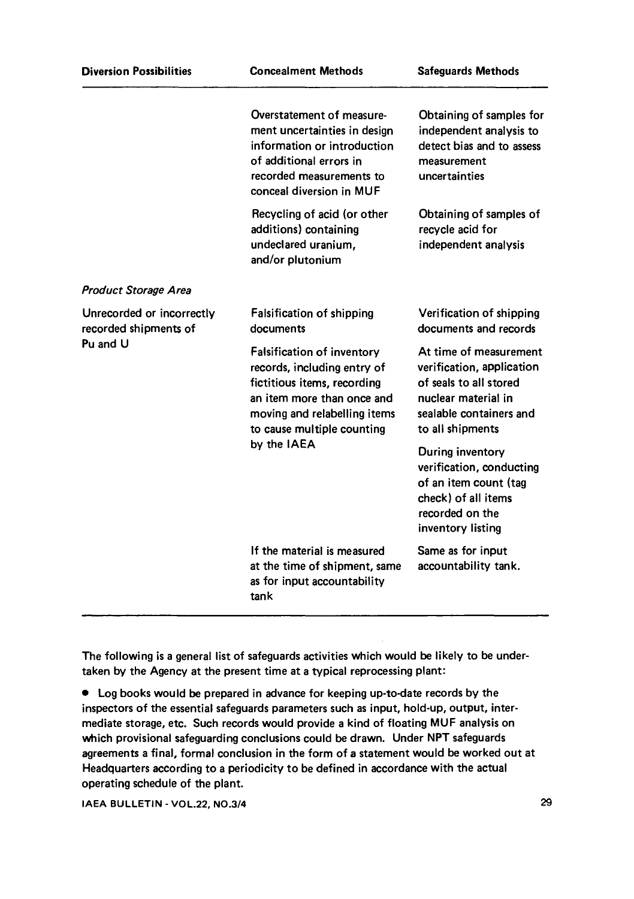Diversion Possibilities Concealment Methods Safeguards Methods

|                                                    | Overstatement of measure-<br>ment uncertainties in design<br>information or introduction<br>of additional errors in<br>recorded measurements to<br>conceal diversion in MUF                                | Obtaining of samples for<br>independent analysis to<br>detect bias and to assess<br>measurement<br>uncertainties                                    |
|----------------------------------------------------|------------------------------------------------------------------------------------------------------------------------------------------------------------------------------------------------------------|-----------------------------------------------------------------------------------------------------------------------------------------------------|
|                                                    | Recycling of acid (or other<br>additions) containing<br>undeclared uranium,<br>and/or plutonium                                                                                                            | Obtaining of samples of<br>recycle acid for<br>independent analysis                                                                                 |
| <b>Product Storage Area</b>                        |                                                                                                                                                                                                            |                                                                                                                                                     |
| Unrecorded or incorrectly<br>recorded shipments of | <b>Falsification of shipping</b><br>documents                                                                                                                                                              | Verification of shipping<br>documents and records                                                                                                   |
| Pu and U                                           | <b>Falsification of inventory</b><br>records, including entry of<br>fictitious items, recording<br>an item more than once and<br>moving and relabelling items<br>to cause multiple counting<br>by the IAEA | At time of measurement<br>verification, application<br>of seals to all stored<br>nuclear material in<br>sealable containers and<br>to all shipments |
|                                                    |                                                                                                                                                                                                            | <b>During inventory</b><br>verification, conducting<br>of an item count (tag<br>check) of all items<br>recorded on the<br>inventory listing         |
|                                                    | If the material is measured<br>at the time of shipment, same<br>as for input accountability<br>tank                                                                                                        | Same as for input<br>accountability tank.                                                                                                           |

The following is a general list of safeguards activities which would be likely to be undertaken by the Agency at the present time at a typical reprocessing plant:

• Log books would be prepared in advance for keeping up-to-date records by the inspectors of the essential safeguards parameters such as input, hold-up, output, intermediate storage, etc. Such records would provide a kind of floating MUF analysis on which provisional safeguarding conclusions could be drawn. Under NPT safeguards agreements a final, formal conclusion in the form of a statement would be worked out at Headquarters according to a periodicity to be defined in accordance with the actual operating schedule of the plant.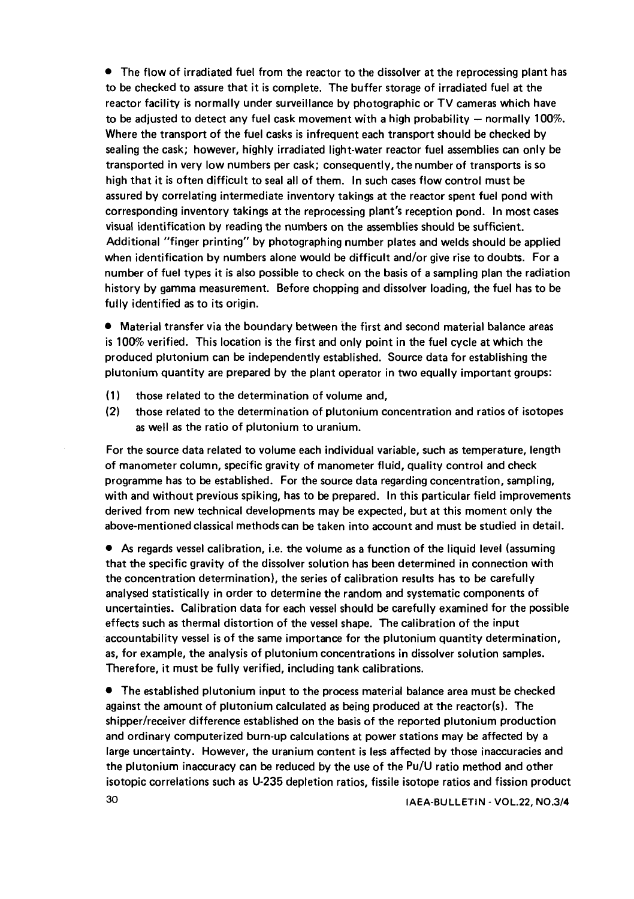• The flow of irradiated fuel from the reactor to the dissolver at the reprocessing plant has to be checked to assure that it is complete. The buffer storage of irradiated fuel at the reactor facility is normally under surveillance by photographic or TV cameras which have to be adjusted to detect any fuel cask movement with a high probability  $-$  normally 100%. Where the transport of the fuel casks is infrequent each transport should be checked by sealing the cask; however, highly irradiated light-water reactor fuel assemblies can only be transported in very low numbers per cask; consequently, the number of transports is so high that it is often difficult to seal all of them. In such cases flow control must be assured by correlating intermediate inventory takings at the reactor spent fuel pond with corresponding inventory takings at the reprocessing plant's reception pond. In most cases visual identification by reading the numbers on the assemblies should be sufficient. Additional "finger printing" by photographing number plates and welds should be applied when identification by numbers alone would be difficult and/or give rise to doubts. For a number of fuel types it is also possible to check on the basis of a sampling plan the radiation history by gamma measurement. Before chopping and dissolver loading, the fuel has to be fully identified as to its origin.

• Material transfer via the boundary between the first and second material balance areas is 100% verified. This location is the first and only point in the fuel cycle at which the produced plutonium can be independently established. Source data for establishing the plutonium quantity are prepared by the plant operator in two equally important groups:

- (1) those related to the determination of volume and,
- (2) those related to the determination of plutonium concentration and ratios of isotopes as well as the ratio of plutonium to uranium.

For the source data related to volume each individual variable, such as temperature, length of manometer column, specific gravity of manometer fluid, quality control and check programme has to be established. For the source data regarding concentration, sampling, with and without previous spiking, has to be prepared. In this particular field improvements derived from new technical developments may be expected, but at this moment only the above-mentioned classical methods can be taken into account and must be studied in detail.

• As regards vessel calibration, i.e. the volume as a function of the liquid level (assuming that the specific gravity of the dissolver solution has been determined in connection with the concentration determination), the series of calibration results has to be carefully analysed statistically in order to determine the random and systematic components of uncertainties. Calibration data for each vessel should be carefully examined for the possible effects such as thermal distortion of the vessel shape. The calibration of the input accountability vessel is of the same importance for the plutonium quantity determination, as, for example, the analysis of plutonium concentrations in dissolver solution samples. Therefore, it must be fully verified, including tank calibrations.

• The established plutonium input to the process material balance area must be checked against the amount of plutonium calculated as being produced at the reactor(s). The shipper/receiver difference established on the basis of the reported plutonium production and ordinary computerized burn-up calculations at power stations may be affected by a large uncertainty. However, the uranium content is less affected by those inaccuracies and the plutonium inaccuracy can be reduced by the use of the Pu/U ratio method and other isotopic correlations such as U-235 depletion ratios, fissile isotope ratios and fission product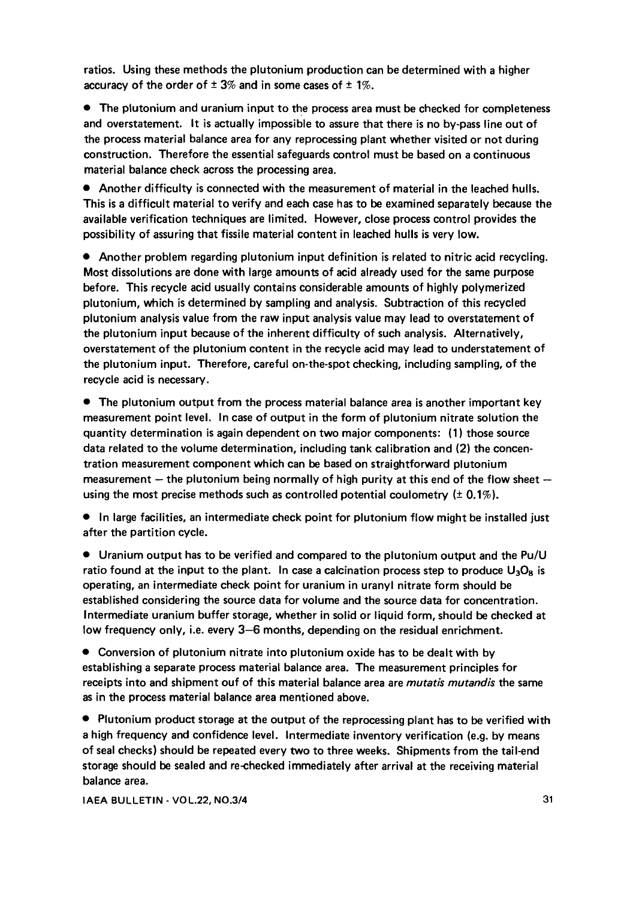ratios. Using these methods the Plutonium production can be determined with a higher accuracy of the order of  $\pm 3\%$  and in some cases of  $\pm 1\%$ .

• The plutonium and uranium input to the process area must be checked for completeness and overstatement. It is actually impossible to assure that there is no by-pass line out of the process material balance area for any reprocessing plant whether visited or not during construction. Therefore the essential safeguards control must be based on a continuous material balance check across the processing area.

• Another difficulty is connected with the measurement of material in the leached hulls. This is a difficult material to verify and each case has to be examined separately because the available verification techniques are limited. However, close process control provides the possibility of assuring that fissile material content in leached hulls is very low.

• Another problem regarding plutonium input definition is related to nitric acid recycling. Most dissolutions are done with large amounts of acid already used for the same purpose before. This recycle acid usually contains considerable amounts of highly polymerized plutonium, which is determined by sampling and analysis. Subtraction of this recycled plutonium analysis value from the raw input analysis value may lead to overstatement of the plutonium input because of the inherent difficulty of such analysis. Alternatively, overstatement of the plutonium content in the recycle acid may lead to understatement of the plutonium input. Therefore, careful on-the-spot checking, including sampling, of the recycle acid is necessary.

• The plutonium output from the process material balance area is another important key measurement point level. In case of output in the form of plutonium nitrate solution the quantity determination is again dependent on two major components: (1) those source data related to the volume determination, including tank calibration and (2) the concentration measurement component which can be based on straightforward plutonium measurement  $-$  the plutonium being normally of high purity at this end of the flow sheet  $$ using the most precise methods such as controlled potential coulometry  $(± 0.1\%)$ .

• In large facilities, an intermediate check point for plutonium flow might be installed just after the partition cycle.

• Uranium output has to be verified and compared to the plutonium output and the Pu/U ratio found at the input to the plant. In case a calcination process step to produce  $U_3O_8$  is operating, an intermediate check point for uranium in uranyl nitrate form should be established considering the source data for volume and the source data for concentration. Intermediate uranium buffer storage, whether in solid or liquid form, should be checked at low frequency only, i.e. every 3—6 months, depending on the residual enrichment.

• Conversion of plutonium nitrate into plutonium oxide has to be dealt with by establishing a separate process material balance area. The measurement principles for receipts into and shipment ouf of this material balance area are mutatis mutandis the same as in the process material balance area mentioned above.

• Plutonium product storage at the output of the reprocessing plant has to be verified with a high frequency and confidence level. Intermediate inventory verification (e.g. by means of seal checks) should be repeated every two to three weeks. Shipments from the tail-end storage should be sealed and re-checked immediately after arrival at the receiving material balance area.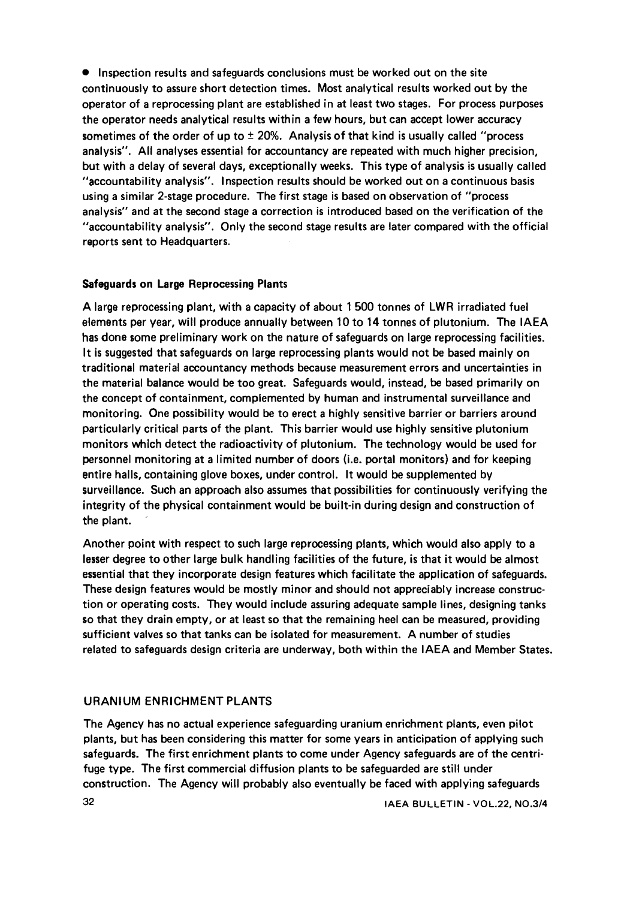• Inspection results and safeguards conclusions must be worked out on the site continuously to assure short detection times. Most analytical results worked out by the operator of a reprocessing plant are established in at least two stages. For process purposes the operator needs analytical results within a few hours, but can accept lower accuracy sometimes of the order of up to  $\pm$  20%. Analysis of that kind is usually called "process" analysis". All analyses essential for accountancy are repeated with much higher precision, but with a delay of several days, exceptionally weeks. This type of analysis is usually called "accountability analysis". Inspection results should be worked out on a continuous basis using a similar 2-stage procedure. The first stage is based on observation of "process analysis" and at the second stage a correction is introduced based on the verification of the "accountability analysis". Only the second stage results are later compared with the official reports sent to Headquarters.

## Safeguards on Large Reprocessing Plants

A large reprocessing plant, with a capacity of about 1 500 tonnes of LWR irradiated fuel elements per year, will produce annually between 10 to 14 tonnes of plutonium. The IAEA has done some preliminary work on the nature of safeguards on large reprocessing facilities. It is suggested that safeguards on large reprocessing plants would not be based mainly on traditional material accountancy methods because measurement errors and uncertainties in the material balance would be too great. Safeguards would, instead, be based primarily on the concept of containment, complemented by human and instrumental surveillance and monitoring. One possibility would be to erect a highly sensitive barrier or barriers around particularly critical parts of the plant. This barrier would use highly sensitive plutonium monitors which detect the radioactivity of plutonium. The technology would be used for personnel monitoring at a limited number of doors (i.e. portal monitors) and for keeping entire halls, containing glove boxes, under control. It would be supplemented by surveillance. Such an approach also assumes that possibilities for continuously verifying the integrity of the physical containment would be built-in during design and construction of the plant.

Another point with respect to such large reprocessing plants, which would also apply to a lesser degree to other large bulk handling facilities of the future, is that it would be almost essential that they incorporate design features which facilitate the application of safeguards. These design features would be mostly minor and should not appreciably increase construction or operating costs. They would include assuring adequate sample lines, designing tanks so that they drain empty, or at least so that the remaining heel can be measured, providing sufficient valves so that tanks can be isolated for measurement. A number of studies related to safeguards design criteria are underway, both within the IAEA and Member States.

#### URANIUM ENRICHMENT PLANTS

The Agency has no actual experience safeguarding uranium enrichment plants, even pilot plants, but has been considering this matter for some years in anticipation of applying such safeguards. The first enrichment plants to come under Agency safeguards are of the centrifuge type. The first commercial diffusion plants to be safeguarded are still under construction. The Agency will probably also eventually be faced with applying safeguards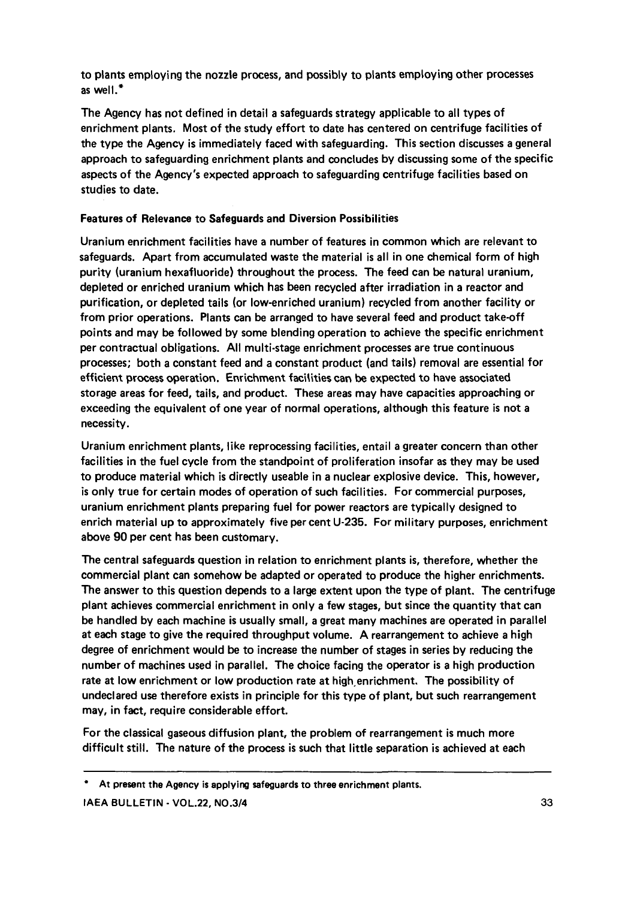to plants employing the nozzle process, and possibly to plants employing other processes as well.\*

The Agency has not defined in detail a safeguards strategy applicable to all types of enrichment plants. Most of the study effort to date has centered on centrifuge facilities of the type the Agency is immediately faced with safeguarding. This section discusses a general approach to safeguarding enrichment plants and concludes by discussing some of the specific aspects of the Agency's expected approach to safeguarding centrifuge facilities based on studies to date.

# **Features of Relevance to Safeguards and Diversion Possibilities**

Uranium enrichment facilities have a number of features in common which are relevant to safeguards. Apart from accumulated waste the material is all in one chemical form of high purity (uranium hexafluoride) throughout the process. The feed can be natural uranium, depleted or enriched uranium which has been recycled after irradiation in a reactor and purification, or depleted tails (or low-enriched uranium) recycled from another facility or from prior operations. Plants can be arranged to have several feed and product take-off points and may be followed by some blending operation to achieve the specific enrichment per contractual obligations. All multi-stage enrichment processes are true continuous processes; both a constant feed and a constant product (and tails) removal are essential for efficient process operation. Enrichment facilities can be expected to have associated storage areas for feed, tails, and product. These areas may have capacities approaching or exceeding the equivalent of one year of normal operations, although this feature is not a necessity.

Uranium enrichment plants, like reprocessing facilities, entail a greater concern than other facilities in the fuel cycle from the standpoint of proliferation insofar as they may be used to produce material which is directly useable in a nuclear explosive device. This, however, is only true for certain modes of operation of such facilities. For commercial purposes, uranium enrichment plants preparing fuel for power reactors are typically designed to enrich material up to approximately five percent U-235. For military purposes, enrichment above 90 per cent has been customary.

The central safeguards question in relation to enrichment plants is, therefore, whether the commercial plant can somehow be adapted or operated to produce the higher enrichments. The answer to this question depends to a large extent upon the type of plant. The centrifuge plant achieves commercial enrichment in only a few stages, but since the quantity that can be handled by each machine is usually small, a great many machines are operated in parallel at each stage to give the required throughput volume. A rearrangement to achieve a high degree of enrichment would be to increase the number of stages in series by reducing the number of machines used in parallel. The choice facing the operator is a high production rate at low enrichment or low production rate at high,enrichment. The possibility of undeclared use therefore exists in principle for this type of plant, but such rearrangement may, in fact, require considerable effort.

For the classical gaseous diffusion plant, the problem of rearrangement is much more difficult still. The nature of the process is such that little separation is achieved at each

**<sup>\*</sup> At present the Agency is applying safeguards to three enrichment plants.**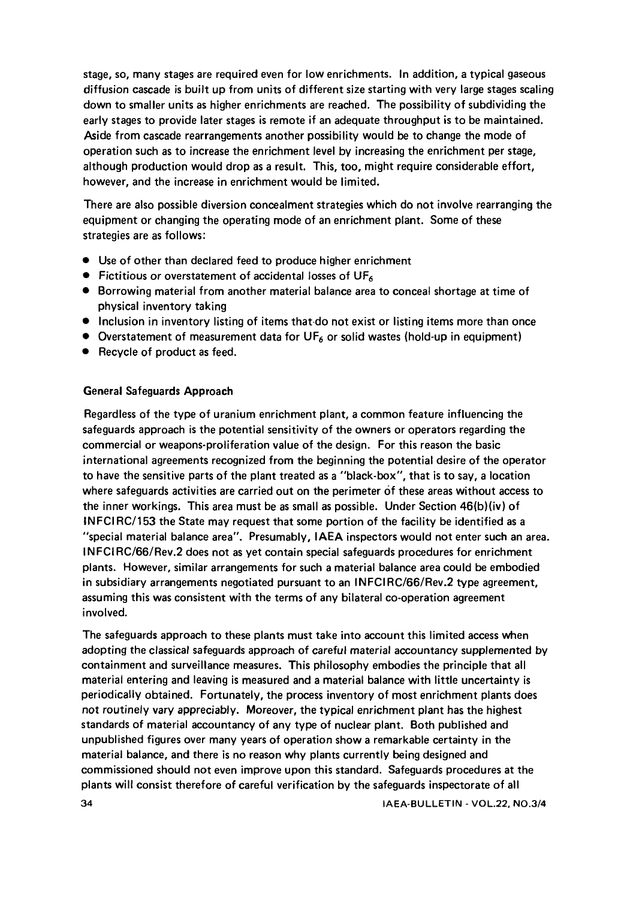stage, so, many stages are required even for low enrichments. In addition, a typical gaseous diffusion cascade is built up from units of different size starting with very large stages scaling down to smaller units as higher enrichments are reached. The possibility of subdividing the early stages to provide later stages is remote if an adequate throughput is to be maintained. Aside from cascade rearrangements another possibility would be to change the mode of operation such as to increase the enrichment level by increasing the enrichment per stage, although production would drop as a result. This, too, might require considerable effort, however, and the increase in enrichment would be limited.

There are also possible diversion concealment strategies which do not involve rearranging the equipment or changing the operating mode of an enrichment plant. Some of these strategies are as follows:

- Use of other than declared feed to produce higher enrichment
- Fictitious or overstatement of accidental losses of  $UF_6$
- Borrowing material from another material balance area to conceal shortage at time of physical inventory taking
- Inclusion in inventory listing of items that do not exist or listing items more than once
- Overstatement of measurement data for  $UF_6$  or solid wastes (hold-up in equipment)
- Recycle of product as feed.

## General Safeguards Approach

Regardless of the type of uranium enrichment plant, a common feature influencing the safeguards approach is the potential sensitivity of the owners or operators regarding the commercial or weapons-proliferation value of the design. For this reason the basic international agreements recognized from the beginning the potential desire of the operator to have the sensitive parts of the plant treated as a "black-box", that is to say, a location where safeguards activities are carried out on the perimeter of these areas without access to the inner workings. This area must be as small as possible. Under Section 46(b)(iv) of INFCIRC/153 the State may request that some portion of the facility be identified as a "special material balance area". Presumably, IAEA inspectors would not enter such an area. INFCIRC/66/Rev.2 does not as yet contain special safeguards procedures for enrichment plants. However, similar arrangements for such a material balance area could be embodied in subsidiary arrangements negotiated pursuant to an INFCIRC/66/Rev.2 type agreement, assuming this was consistent with the terms of any bilateral co-operation agreement involved.

The safeguards approach to these plants must take into account this limited access when adopting the classical safeguards approach of careful material accountancy supplemented by containment and surveillance measures. This philosophy embodies the principle that all material entering and leaving is measured and a material balance with little uncertainty is periodically obtained. Fortunately, the process inventory of most enrichment plants does not routinely vary appreciably. Moreover, the typical enrichment plant has the highest standards of material accountancy of any type of nuclear plant. Both published and unpublished figures over many years of operation show a remarkable certainty in the material balance, and there is no reason why plants currently being designed and commissioned should not even improve upon this standard. Safeguards procedures at the plants will consist therefore of careful verification by the safeguards inspectorate of all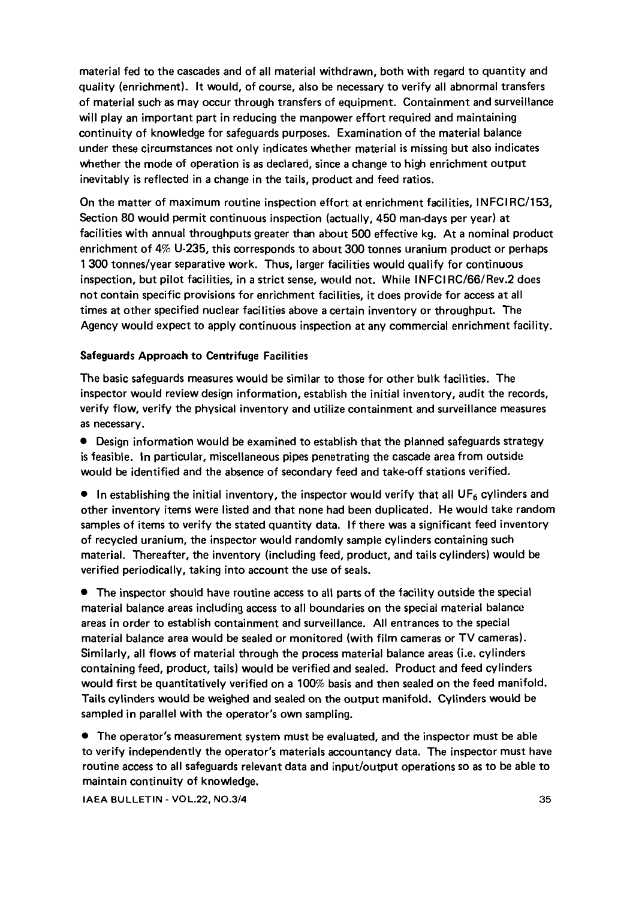material fed to the cascades and of all material withdrawn, both with regard to quantity and quality (enrichment). It would, of course, also be necessary to verify all abnormal transfers of material such-as may occur through transfers of equipment. Containment and surveillance will play an important part in reducing the manpower effort required and maintaining continuity of knowledge for safeguards purposes. Examination of the material balance under these circumstances not only indicates whether material is missing but also indicates whether the mode of operation is as declared, since a change to high enrichment output inevitably is reflected in a change in the tails, product and feed ratios.

On the matter of maximum routine inspection effort at enrichment facilities, INFCIRC/153, Section 80 would permit continuous inspection (actually, 450 man-days per year) at facilities with annual throughputs greater than about 500 effective kg. At a nominal product enrichment of 4% U-235, this corresponds to about 300 tonnes uranium product or perhaps 1 300 tonnes/year separative work. Thus, larger facilities would qualify for continuous inspection, but pilot facilities, in a strict sense, would not. While INFCIRC/66/Rev.2 does not contain specific provisions for enrichment facilities, it does provide for access at all times at other specified nuclear facilities above a certain inventory or throughput. The Agency would expect to apply continuous inspection at any commercial enrichment facility.

#### **Safeguards Approach to Centrifuge** Facilities

The basic safeguards measures would be similar to those for other bulk facilities. The inspector would review design information, establish the initial inventory, audit the records, verify flow, verify the physical inventory and utilize containment and surveillance measures as necessary.

• Design information would be examined to establish that the planned safeguards strategy is feasible. In particular, miscellaneous pipes penetrating the cascade area from outside would be identified and the absence of secondary feed and take-off stations verified.

 $\bullet$  In establishing the initial inventory, the inspector would verify that all UF<sub>6</sub> cylinders and other inventory items were listed and that none had been duplicated. He would take random samples of items to verify the stated quantity data. If there was a significant feed inventory of recycled uranium, the inspector would randomly sample cylinders containing such material. Thereafter, the inventory (including feed, product, and tails cylinders) would be verified periodically, taking into account the use of seals.

• The inspector should have routine access to all parts of the facility outside the special material balance areas including access to all boundaries on the special material balance areas in order to establish containment and surveillance. All entrances to the special material balance area would be sealed or monitored (with film cameras or TV cameras). Similarly, all flows of material through the process material balance areas (i.e. cylinders containing feed, product, tails) would be verified and sealed. Product and feed cylinders would first be quantitatively verified on a 100% basis and then sealed on the feed manifold. Tails cylinders would be weighed and sealed on the output manifold. Cylinders would be sampled in parallel with the operator's own sampling.

• The operator's measurement system must be evaluated, and the inspector must be able to verify independently the operator's materials accountancy data. The inspector must have routine access to all safeguards relevant data and input/output operations so as to be able to maintain continuity of knowledge.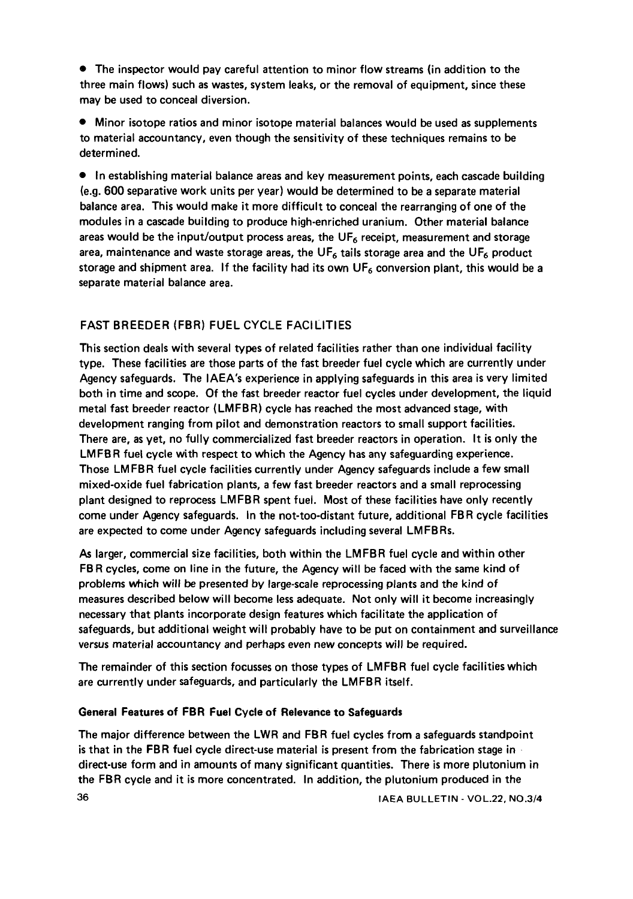• The inspector would pay careful attention to minor flow streams (in addition to the three main flows) such as wastes, system leaks, or the removal of equipment, since these may be used to conceal diversion.

• Minor isotope ratios and minor isotope material balances would be used as supplements to material accountancy, even though the sensitivity of these techniques remains to be determined.

• In establishing material balance areas and key measurement points, each cascade building (e.g. 600 separative work units per year) would be determined to be a separate material balance area. This would make it more difficult to conceal the rearranging of one of the modules in a cascade building to produce high-enriched uranium. Other material balance areas would be the input/output process areas, the  $UF<sub>6</sub>$  receipt, measurement and storage area, maintenance and waste storage areas, the UF $_6$  tails storage area and the UF $_6$  product storage and shipment area. If the facility had its own  $UF<sub>6</sub>$  conversion plant, this would be a separate material balance area.

# FAST BREEDER (FBR) FUEL CYCLE FACILITIES

This section deals with several types of related facilities rather than one individual facility type. These facilities are those parts of the fast breeder fuel cycle which are currently under Agency safeguards. The IAEA's experience in applying safeguards in this area is very limited both in time and scope. Of the fast breeder reactor fuel cycles under development, the liquid metal fast breeder reactor (LMFBR) cycle has reached the most advanced stage, with development ranging from pilot and demonstration reactors to small support facilities. There are, as yet, no fully commercialized fast breeder reactors in operation. It is only the LMFBR fuel cycle with respect to which the Agency has any safeguarding experience. Those LMFBR fuel cycle facilities currently under Agency safeguards include a few small mixed-oxide fuel fabrication plants, a few fast breeder reactors and a small reprocessing plant designed to reprocess LMFBR spent fuel. Most of these facilities have only recently come under Agency safeguards. In the not-too-distant future, additional FBR cycle facilities are expected to come under Agency safeguards including several LMFBRs.

As larger, commercial size facilities, both within the LMFBR fuel cycle and within other FBR cycles, come on line in the future, the Agency will be faced with the same kind of problems which will be presented by large-scale reprocessing plants and the kind of measures described below will become less adequate. Not only will it become increasingly necessary that plants incorporate design features which facilitate the application of safeguards, but additional weight will probably have to be put on containment and surveillance versus material accountancy and perhaps even new concepts will be required.

The remainder of this section focusses on those types of LMFBR fuel cycle facilities which are currently under safeguards, and particularly the LMFBR itself.

#### **General Features of FBR Fuel Cycle of Relevance to Safeguards**

The major difference between the LWR and FBR fuel cycles from a safeguards standpoint is that in the FBR fuel cycle direct-use material is present from the fabrication stage in direct-use form and in amounts of many significant quantities. There is more plutonium in the FBR cycle and it is more concentrated. In addition, the plutonium produced in the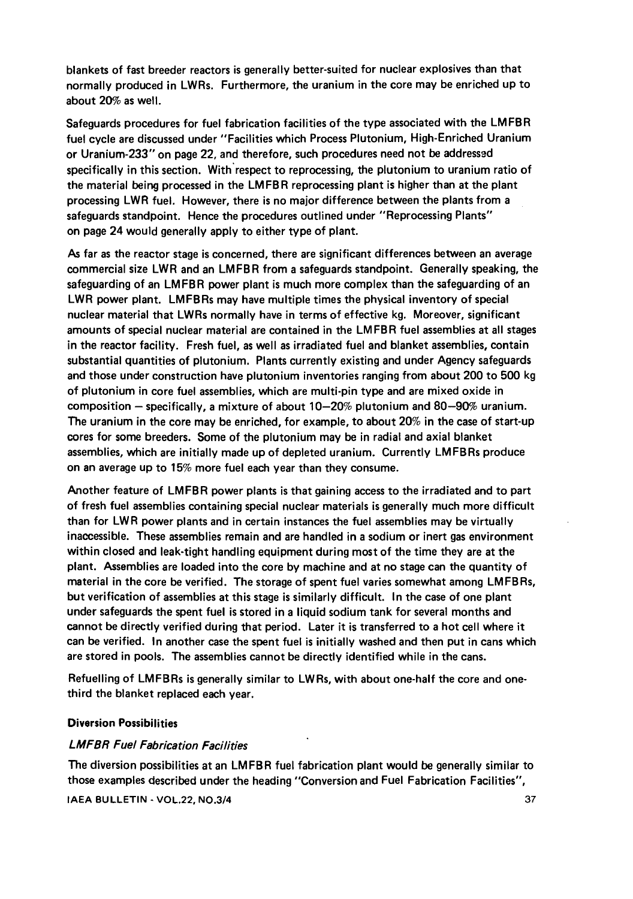blankets of fast breeder reactors is generally better-suited for nuclear explosives than that normally produced in LWRs. Furthermore, the uranium in the core may be enriched up to about 20% as well.

Safeguards procedures for fuel fabrication facilities of the type associated with the LMFBR fuel cycle are discussed under "Facilities which Process Plutonium, High-Enriched Uranium or Uranium-233" on page 22, and therefore, such procedures need not be addressed specifically in this section. With respect to reprocessing, the plutonium to uranium ratio of the material being processed in the LMFBR reprocessing plant is higher than at the plant processing LWR fuel. However, there is no major difference between the plants from a safeguards standpoint. Hence the procedures outlined under "Reprocessing Plants" on page 24 would generally apply to either type of plant.

As far as the reactor stage is concerned, there are significant differences between an average commercial size LWR and an LMFBR from a safeguards standpoint. Generally speaking, the safeguarding of an LMFBR power plant is much more complex than the safeguarding of an LWR power plant. LMFBRs may have multiple times the physical inventory of special nuclear material that LWRs normally have in terms of effective kg. Moreover, significant amounts of special nuclear material are contained in the LMFBR fuel assemblies at all stages in the reactor facility. Fresh fuel, as well as irradiated fuel and blanket assemblies, contain substantial quantities of plutonium. Plants currently existing and under Agency safeguards and those under construction have plutonium inventories ranging from about 200 to 500 kg of plutonium in core fuel assemblies, which are multi-pin type and are mixed oxide in composition — specifically, a mixture of about 10—20% plutonium and 80—90% uranium. The uranium in the core may be enriched, for example, to about 20% in the case of start-up cores for some breeders. Some of the plutonium may be in radial and axial blanket assemblies, which are initially made up of depleted uranium. Currently LMFBRs produce on an average up to 15% more fuel each year than they consume.

Another feature of LMFBR power plants is that gaining access to the irradiated and to part of fresh fuel assemblies containing special nuclear materials is generally much more difficult than for LWR power plants and in certain instances the fuel assemblies may be virtually inaccessible. These assemblies remain and are handled in a sodium or inert gas environment within closed and leak-tight handling equipment during most of the time they are at the plant. Assemblies are loaded into the core by machine and at no stage can the quantity of material in the core be verified. The storage of spent fuel varies somewhat among LMFBRs, but verification of assemblies at this stage is similarly difficult. In the case of one plant under safeguards the spent fuel is stored in a liquid sodium tank for several months and cannot be directly verified during that period. Later it is transferred to a hot cell where it can be verified. In another case the spent fuel is initially washed and then put in cans which are stored in pools. The assemblies cannot be directly identified while in the cans.

Refuelling of LMFBRs is generally similar to LWRs, with about one-half the core and onethird the blanket replaced each year.

#### Diversion Possibilities

## LMFBR Fuel Fabrication Facilities

The diversion possibilities at an LMFBR fuel fabrication plant would be generally similar to those examples described under the heading "Conversion and Fuel Fabrication Facilities",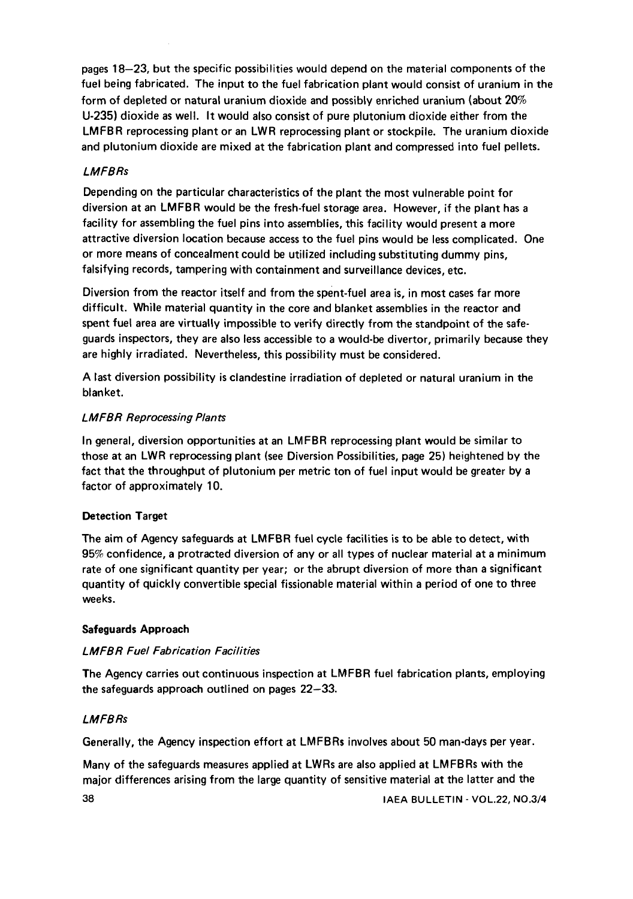pages 18—23, but the specific possibilities would depend on the material components of the fuel being fabricated. The input to the fuel fabrication plant would consist of uranium in the form of depleted or natural uranium dioxide and possibly enriched uranium (about 20% U-235) dioxide as well. It would also consist of pure plutonium dioxide either from the LMFBR reprocessing plant or an LWR reprocessing plant or stockpile. The uranium dioxide and plutonium dioxide are mixed at the fabrication plant and compressed into fuel pellets.

## LMFBRs

Depending on the particular characteristics of the plant the most vulnerable point for diversion at an LMFBR would be the fresh-fuel storage area. However, if the plant has a facility for assembling the fuel pins into assemblies, this facility would present a more attractive diversion location because access to the fuel pins would be less complicated. One or more means of concealment could be utilized including substituting dummy pins, falsifying records, tampering with containment and surveillance devices, etc.

Diversion from the reactor itself and from the spent-fuel area is, in most cases far more difficult. While material quantity in the core and blanket assemblies in the reactor and spent fuel area are virtually impossible to verify directly from the standpoint of the safeguards inspectors, they are also less accessible to a would-be divertor, primarily because they are highly irradiated. Nevertheless, this possibility must be considered.

A last diversion possibility is clandestine irradiation of depleted or natural uranium in the blanket.

# LMFBR Reprocessing Plants

In general, diversion opportunities at an LMFBR reprocessing plant would be similar to those at an LWR reprocessing plant (see Diversion Possibilities, page 25) heightened by the fact that the throughput of plutonium per metric ton of fuel input would be greater by a factor of approximately 10.

## **Detection Target**

The aim of Agency safeguards at LMFBR fuel cycle facilities is to be able to detect, with 95% confidence, a protracted diversion of any or all types of nuclear material at a minimum rate of one significant quantity per year; or the abrupt diversion of more than a significant quantity of quickly convertible special fissionable material within a period of one to three weeks.

## **Safeguards Approach**

## LMFBR Fuel Fabrication Facilities

The Agency carries out continuous inspection at LMFBR fuel fabrication plants, employing the safeguards approach outlined on pages 22—33.

## LMFBRs

Generally, the Agency inspection effort at LMFBRs involves about 50 man-days per year.

Many of the safeguards measures applied at LWRs are also applied at LMFBRs with the major differences arising from the large quantity of sensitive material at the latter and the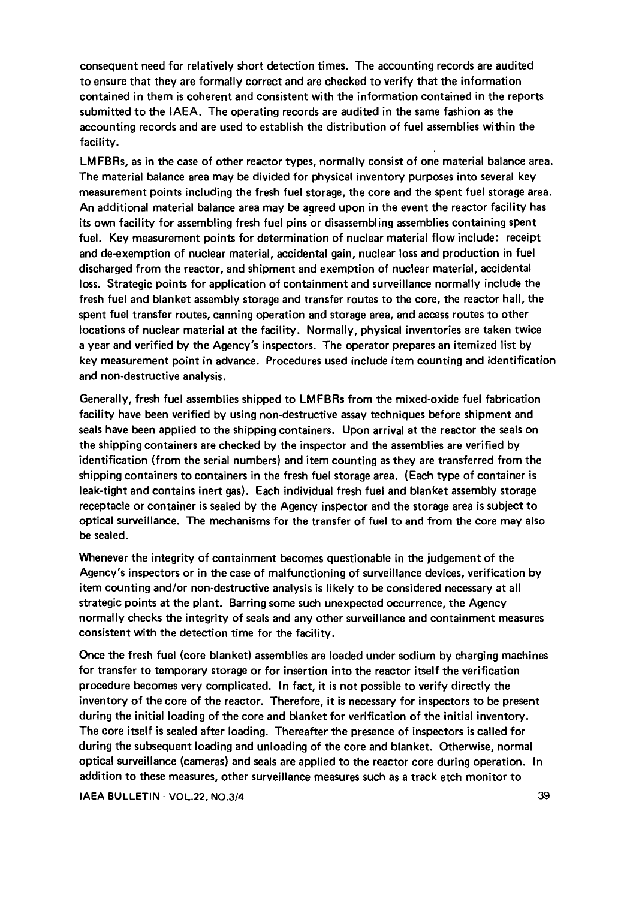consequent need for relatively short detection times. The accounting records are audited to ensure that they are formally correct and are checked to verify that the information contained in them is coherent and consistent with the information contained in the reports submitted to the IAEA. The operating records are audited in the same fashion as the accounting records and are used to establish the distribution of fuel assemblies within the facility.

LMFBRs, as in the case of other reactor types, normally consist of one material balance area. The material balance area may be divided for physical inventory purposes into several key measurement points including the fresh fuel storage, the core and the spent fuel storage area. An additional material balance area may be agreed upon in the event the reactor facility has its own facility for assembling fresh fuel pins or disassembling assemblies containing spent fuel. Key measurement points for determination of nuclear material flow include: receipt and de-exemption of nuclear material, accidental gain, nuclear loss and production in fuel discharged from the reactor, and shipment and exemption of nuclear material, accidental loss. Strategic points for application of containment and surveillance normally include the fresh fuel and blanket assembly storage and transfer routes to the core, the reactor hall, the spent fuel transfer routes, canning operation and storage area, and access routes to other locations of nuclear material at the facility. Normally, physical inventories are taken twice a year and verified by the Agency's inspectors. The operator prepares an itemized list by key measurement point in advance. Procedures used include item counting and identification and non-destructive analysis.

Generally, fresh fuel assemblies shipped to LMFBRs from the mixed-oxide fuel fabrication facility have been verified by using non-destructive assay techniques before shipment and seals have been applied to the shipping containers. Upon arrival at the reactor the seals on the shipping containers are checked by the inspector and the assemblies are verified by identification (from the serial numbers) and item counting as they are transferred from the shipping containers to containers in the fresh fuel storage area. (Each type of container is leak-tight and contains inert gas). Each individual fresh fuel and blanket assembly storage receptacle or container is sealed by the Agency inspector and the storage area is subject to optical surveillance. The mechanisms for the transfer of fuel to and from the core may also be sealed.

Whenever the integrity of containment becomes questionable in the judgement of the Agency's inspectors or in the case of malfunctioning of surveillance devices, verification by item counting and/or non-destructive analysis is likely to be considered necessary at all strategic points at the plant. Barring some such unexpected occurrence, the Agency normally checks the integrity of seals and any other surveillance and containment measures consistent with the detection time for the facility.

Once the fresh fuel (core blanket) assemblies are loaded under sodium by charging machines for transfer to temporary storage or for insertion into the reactor itself the verification procedure becomes very complicated. In fact, it is not possible to verify directly the inventory of the core of the reactor. Therefore, it is necessary for inspectors to be present during the initial loading of the core and blanket for verification of the initial inventory. The core itself is sealed after loading. Thereafter the presence of inspectors is called for during the subsequent loading and unloading of the core and blanket. Otherwise, normal optical surveillance (cameras) and seals are applied to the reactor core during operation. In addition to these measures, other surveillance measures such as a track etch monitor to